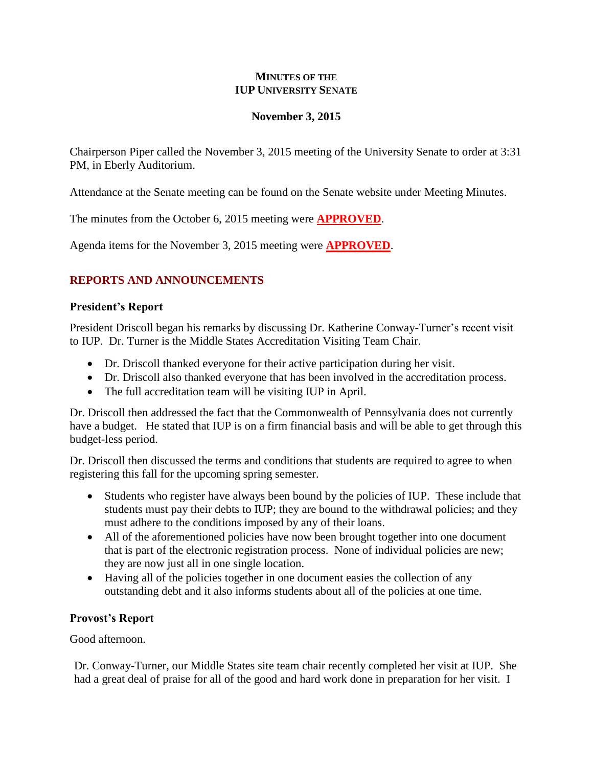## **MINUTES OF THE IUP UNIVERSITY SENATE**

## **November 3, 2015**

Chairperson Piper called the November 3, 2015 meeting of the University Senate to order at 3:31 PM, in Eberly Auditorium.

Attendance at the Senate meeting can be found on the Senate website under Meeting Minutes.

The minutes from the October 6, 2015 meeting were **APPROVED**.

Agenda items for the November 3, 2015 meeting were **APPROVED**.

# **REPORTS AND ANNOUNCEMENTS**

## **President's Report**

President Driscoll began his remarks by discussing Dr. Katherine Conway-Turner's recent visit to IUP. Dr. Turner is the Middle States Accreditation Visiting Team Chair.

- Dr. Driscoll thanked everyone for their active participation during her visit.
- Dr. Driscoll also thanked everyone that has been involved in the accreditation process.
- The full accreditation team will be visiting IUP in April.

Dr. Driscoll then addressed the fact that the Commonwealth of Pennsylvania does not currently have a budget. He stated that IUP is on a firm financial basis and will be able to get through this budget-less period.

Dr. Driscoll then discussed the terms and conditions that students are required to agree to when registering this fall for the upcoming spring semester.

- Students who register have always been bound by the policies of IUP. These include that students must pay their debts to IUP; they are bound to the withdrawal policies; and they must adhere to the conditions imposed by any of their loans.
- All of the aforementioned policies have now been brought together into one document that is part of the electronic registration process. None of individual policies are new; they are now just all in one single location.
- Having all of the policies together in one document easies the collection of any outstanding debt and it also informs students about all of the policies at one time.

## **Provost's Report**

Good afternoon.

Dr. Conway-Turner, our Middle States site team chair recently completed her visit at IUP. She had a great deal of praise for all of the good and hard work done in preparation for her visit. I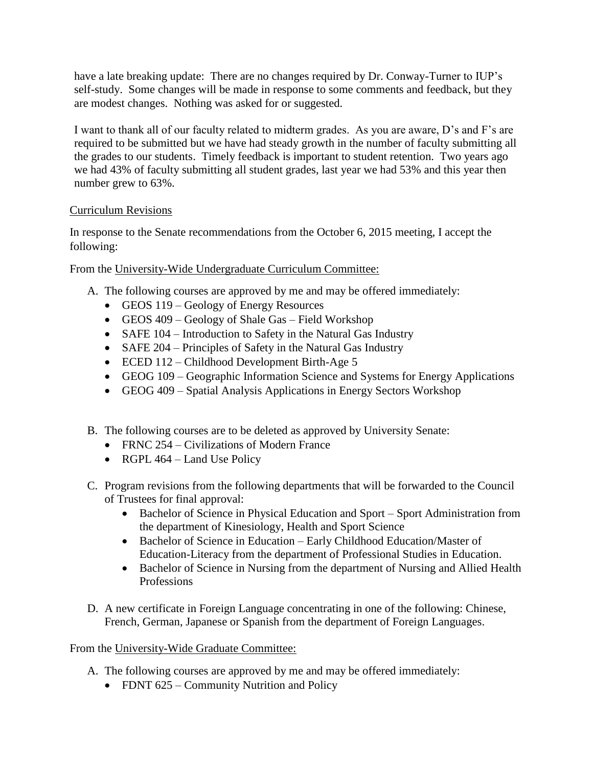have a late breaking update: There are no changes required by Dr. Conway-Turner to IUP's self-study. Some changes will be made in response to some comments and feedback, but they are modest changes. Nothing was asked for or suggested.

I want to thank all of our faculty related to midterm grades. As you are aware, D's and F's are required to be submitted but we have had steady growth in the number of faculty submitting all the grades to our students. Timely feedback is important to student retention. Two years ago we had 43% of faculty submitting all student grades, last year we had 53% and this year then number grew to 63%.

# Curriculum Revisions

In response to the Senate recommendations from the October 6, 2015 meeting, I accept the following:

From the University-Wide Undergraduate Curriculum Committee:

- A. The following courses are approved by me and may be offered immediately:
	- GEOS 119 Geology of Energy Resources
	- GEOS 409 Geology of Shale Gas Field Workshop
	- SAFE 104 Introduction to Safety in the Natural Gas Industry
	- SAFE 204 Principles of Safety in the Natural Gas Industry
	- ECED 112 Childhood Development Birth-Age 5
	- GEOG 109 Geographic Information Science and Systems for Energy Applications
	- GEOG 409 Spatial Analysis Applications in Energy Sectors Workshop
- B. The following courses are to be deleted as approved by University Senate:
	- FRNC 254 Civilizations of Modern France
	- RGPL  $464$  Land Use Policy
- C. Program revisions from the following departments that will be forwarded to the Council of Trustees for final approval:
	- Bachelor of Science in Physical Education and Sport Sport Administration from the department of Kinesiology, Health and Sport Science
	- Bachelor of Science in Education Early Childhood Education/Master of Education-Literacy from the department of Professional Studies in Education.
	- Bachelor of Science in Nursing from the department of Nursing and Allied Health Professions
- D. A new certificate in Foreign Language concentrating in one of the following: Chinese, French, German, Japanese or Spanish from the department of Foreign Languages.

# From the University-Wide Graduate Committee:

- A. The following courses are approved by me and may be offered immediately:
	- FDNT 625 Community Nutrition and Policy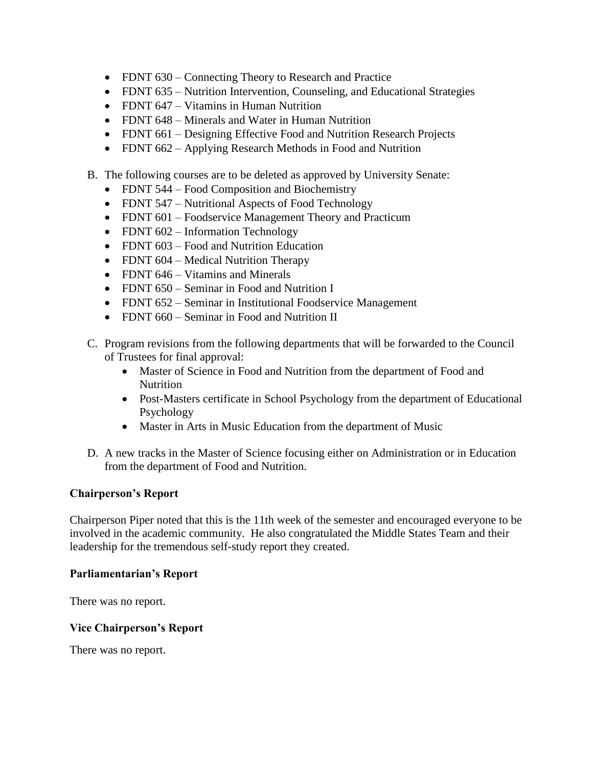- FDNT 630 Connecting Theory to Research and Practice
- FDNT 635 Nutrition Intervention, Counseling, and Educational Strategies
- FDNT 647 Vitamins in Human Nutrition
- FDNT 648 Minerals and Water in Human Nutrition
- FDNT 661 Designing Effective Food and Nutrition Research Projects
- FDNT 662 Applying Research Methods in Food and Nutrition
- B. The following courses are to be deleted as approved by University Senate:
	- FDNT 544 Food Composition and Biochemistry
	- FDNT 547 Nutritional Aspects of Food Technology
	- FDNT 601 Foodservice Management Theory and Practicum
	- FDNT 602 Information Technology
	- FDNT 603 Food and Nutrition Education
	- FDNT 604 Medical Nutrition Therapy
	- FDNT 646 Vitamins and Minerals
	- FDNT 650 Seminar in Food and Nutrition I
	- FDNT 652 Seminar in Institutional Foodservice Management
	- FDNT 660 Seminar in Food and Nutrition II
- C. Program revisions from the following departments that will be forwarded to the Council of Trustees for final approval:
	- Master of Science in Food and Nutrition from the department of Food and Nutrition
	- Post-Masters certificate in School Psychology from the department of Educational Psychology
	- Master in Arts in Music Education from the department of Music
- D. A new tracks in the Master of Science focusing either on Administration or in Education from the department of Food and Nutrition.

## **Chairperson's Report**

Chairperson Piper noted that this is the 11th week of the semester and encouraged everyone to be involved in the academic community. He also congratulated the Middle States Team and their leadership for the tremendous self-study report they created.

## **Parliamentarian's Report**

There was no report.

## **Vice Chairperson's Report**

There was no report.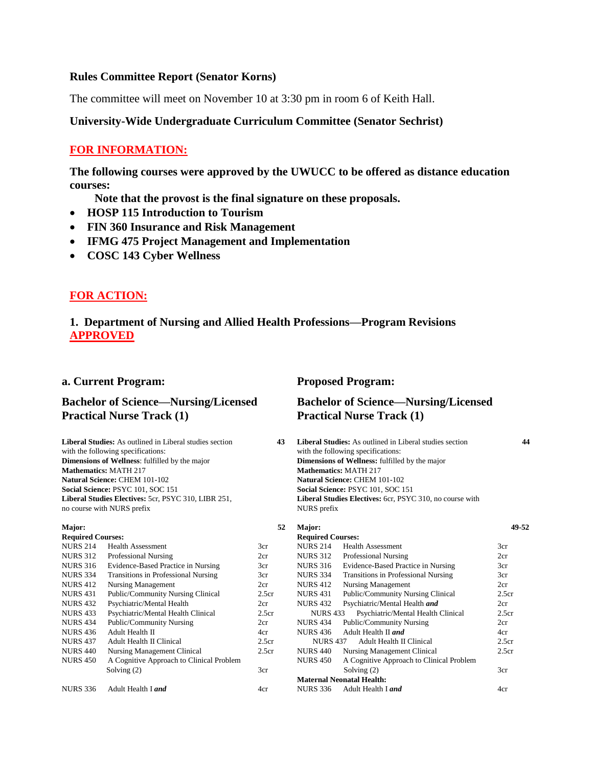### **Rules Committee Report (Senator Korns)**

The committee will meet on November 10 at 3:30 pm in room 6 of Keith Hall.

### **University-Wide Undergraduate Curriculum Committee (Senator Sechrist)**

### **FOR INFORMATION:**

**The following courses were approved by the UWUCC to be offered as distance education courses:** 

 **Note that the provost is the final signature on these proposals.**

- **HOSP 115 Introduction to Tourism**
- **FIN 360 Insurance and Risk Management**
- **IFMG 475 Project Management and Implementation**
- **COSC 143 Cyber Wellness**

## **FOR ACTION:**

## **1. Department of Nursing and Allied Health Professions—Program Revisions APPROVED**

### **a. Current Program: Proposed Program:**

### **Bachelor of Science—Nursing/Licensed Practical Nurse Track (1)**

**Liberal Studies:** As outlined in Liberal studies section **43** with the following specifications: **Dimensions of Wellness**: fulfilled by the major **Mathematics:** MATH 217 **Natural Science:** CHEM 101-102 **Social Science:** PSYC 101, SOC 151 **Liberal Studies Electives:** 5cr, PSYC 310, LIBR 251, no course with NURS prefix

### **Major:**

| <b>Required Courses:</b> |                                            |       |
|--------------------------|--------------------------------------------|-------|
| <b>NURS 214</b>          | <b>Health Assessment</b>                   | 3cr   |
| <b>NURS 312</b>          | <b>Professional Nursing</b>                | 2cr   |
| <b>NURS 316</b>          | Evidence-Based Practice in Nursing         | 3cr   |
| <b>NURS 334</b>          | <b>Transitions in Professional Nursing</b> | 3cr   |
| <b>NURS 412</b>          | Nursing Management                         | 2cr   |
| <b>NURS 431</b>          | <b>Public/Community Nursing Clinical</b>   | 2.5cr |
| <b>NURS 432</b>          | Psychiatric/Mental Health                  | 2cr   |
| <b>NURS 433</b>          | Psychiatric/Mental Health Clinical         | 2.5cr |
| <b>NURS 434</b>          | <b>Public/Community Nursing</b>            | 2cr   |
| <b>NURS 436</b>          | Adult Health II                            | 4cr   |
| <b>NURS 437</b>          | Adult Health II Clinical                   | 2.5cr |
| <b>NURS 440</b>          | <b>Nursing Management Clinical</b>         | 2.5cr |
| <b>NURS 450</b>          | A Cognitive Approach to Clinical Problem   |       |
|                          | Solving $(2)$                              | 3cr   |
| <b>NURS 336</b>          | Adult Health I and                         | 4cr   |

## **Bachelor of Science—Nursing/Licensed Practical Nurse Track (1)**

**Liberal Studies:** As outlined in Liberal studies section **44** with the following specifications: **Dimensions of Wellness:** fulfilled by the major **Mathematics:** MATH 217 **Natural Science:** CHEM 101-102 **Social Science:** PSYC 101, SOC 151 **Liberal Studies Electives:** 6cr, PSYC 310, no course with NURS prefix

| 52    | Major:                   |                                          | 49-52 |
|-------|--------------------------|------------------------------------------|-------|
|       | <b>Required Courses:</b> |                                          |       |
| 3cr   | <b>NURS 214</b>          | <b>Health Assessment</b>                 | 3cr   |
| 2cr   | NURS 312                 | <b>Professional Nursing</b>              | 2cr   |
| 3cr   | <b>NURS 316</b>          | Evidence-Based Practice in Nursing       | 3cr   |
| 3cr   | <b>NURS 334</b>          | Transitions in Professional Nursing      | 3cr   |
| 2cr   | <b>NURS 412</b>          | <b>Nursing Management</b>                | 2cr   |
| 2.5cr | <b>NURS 431</b>          | Public/Community Nursing Clinical        | 2.5cr |
| 2cr   | <b>NURS 432</b>          | Psychiatric/Mental Health and            | 2cr   |
| 2.5cr | <b>NURS 433</b>          | Psychiatric/Mental Health Clinical       | 2.5cr |
| 2cr   | <b>NURS 434</b>          | Public/Community Nursing                 | 2cr   |
| 4cr   | <b>NURS 436</b>          | Adult Health II and                      | 4cr   |
| 2.5cr | <b>NURS 437</b>          | Adult Health II Clinical                 | 2.5cr |
| 2.5cr | <b>NURS 440</b>          | Nursing Management Clinical              | 2.5cr |
|       | <b>NURS 450</b>          | A Cognitive Approach to Clinical Problem |       |
| 3cr   |                          | Solving $(2)$                            | 3cr   |
|       |                          | <b>Maternal Neonatal Health:</b>         |       |
| 4cr   | NURS 336                 | Adult Health I and                       | 4cr   |
|       |                          |                                          |       |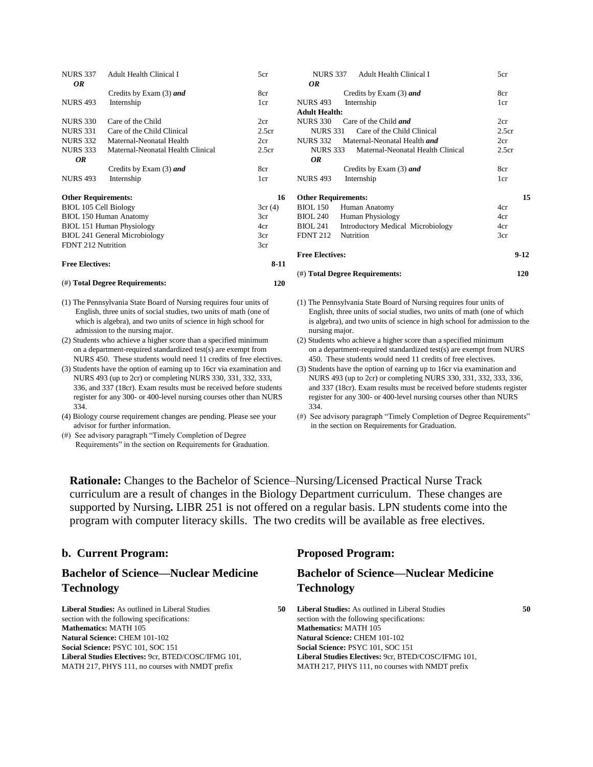| <b>NURS 337</b>            | <b>Adult Health Clinical I</b>       | 5cr               |
|----------------------------|--------------------------------------|-------------------|
| 0R                         |                                      |                   |
|                            | Credits by Exam (3) and              | 8cr               |
| <b>NURS 493</b>            | Internship                           | 1cr               |
| <b>NURS</b> 330            | Care of the Child                    | 2cr               |
| <b>NURS 331</b>            | Care of the Child Clinical           | 2.5 <sub>cr</sub> |
| <b>NURS 332</b>            | Maternal-Neonatal Health             | 2cr               |
| <b>NURS 333</b>            | Maternal-Neonatal Health Clinical    | 2.5 <sub>cr</sub> |
| 0R                         |                                      |                   |
|                            | Credits by Exam (3) and              | 8cr               |
| <b>NURS 493</b>            | Internship                           | 1cr               |
| <b>Other Requirements:</b> |                                      | 16                |
| BIOL 105 Cell Biology      |                                      | 3cr(4)            |
|                            | <b>BIOL 150 Human Anatomy</b>        | 3cr               |
|                            | BIOL 151 Human Physiology            | 4cr               |
|                            | <b>BIOL 241 General Microbiology</b> | 3cr               |
| FDNT 212 Nutrition         |                                      | 3cr               |
| <b>Free Electives:</b>     |                                      | $8 - 11$          |
|                            | (#) Total Degree Requirements:       | 120               |

- (1) The Pennsylvania State Board of Nursing requires four units of English, three units of social studies, two units of math (one of which is algebra), and two units of science in high school for admission to the nursing major.
- (2) Students who achieve a higher score than a specified minimum on a department-required standardized test(s) are exempt from NURS 450. These students would need 11 credits of free electives.
- (3) Students have the option of earning up to 16cr via examination and NURS 493 (up to 2cr) or completing NURS 330, 331, 332, 333, 336, and 337 (18cr). Exam results must be received before students register for any 300- or 400-level nursing courses other than NURS 334.
- (4) Biology course requirement changes are pending. Please see your advisor for further information.
- (#) See advisory paragraph "Timely Completion of Degree Requirements" in the section on Requirements for Graduation.

| Adult Health Clinical I<br><b>NURS 337</b>           | 5cr               |
|------------------------------------------------------|-------------------|
| OR                                                   |                   |
| Credits by Exam (3) and                              | 8cr               |
| <b>NURS 493</b><br>Internship                        | 1 <sub>cr</sub>   |
| <b>Adult Health:</b>                                 |                   |
| <b>NURS 330</b><br>Care of the Child <i>and</i>      | 2cr               |
| Care of the Child Clinical<br><b>NURS</b> 331        | 2.5cr             |
| Maternal-Neonatal Health and<br><b>NURS 332</b>      | 2cr               |
| Maternal-Neonatal Health Clinical<br><b>NURS 333</b> | 2.5 <sub>cr</sub> |
| 0R                                                   |                   |
| Credits by Exam (3) and                              | 8cr               |
| <b>NURS 493</b><br>Internship                        | 1cr               |
|                                                      |                   |
| <b>Other Requirements:</b>                           | 15                |
| BIOL 150<br>Human Anatomy                            | 4cr               |
| <b>BIOL 240</b><br><b>Human Physiology</b>           | 4cr               |
| BIOL 241<br><b>Introductory Medical Microbiology</b> | 4cr               |
| <b>FDNT 212</b><br>Nutrition                         | 3cr               |
|                                                      |                   |
| <b>Free Electives:</b>                               | $9-12$            |
|                                                      |                   |
| (#) Total Degree Requirements:                       | 120               |

- (1) The Pennsylvania State Board of Nursing requires four units of English, three units of social studies, two units of math (one of which is algebra), and two units of science in high school for admission to the nursing major.
- (2) Students who achieve a higher score than a specified minimum on a department-required standardized test(s) are exempt from NURS 450. These students would need 11 credits of free electives.
- (3) Students have the option of earning up to 16cr via examination and NURS 493 (up to 2cr) or completing NURS 330, 331, 332, 333, 336, and 337 (18cr). Exam results must be received before students register register for any 300- or 400-level nursing courses other than NURS 334.
- (#) See advisory paragraph "Timely Completion of Degree Requirements" in the section on Requirements for Graduation.

**Rationale:** Changes to the Bachelor of Science–Nursing/Licensed Practical Nurse Track curriculum are a result of changes in the Biology Department curriculum. These changes are supported by Nursing**.** LIBR 251 is not offered on a regular basis. LPN students come into the program with computer literacy skills. The two credits will be available as free electives.

|  |  | b. Current Program: |
|--|--|---------------------|
|--|--|---------------------|

## **Bachelor of Science—Nuclear Medicine Technology**

**Liberal Studies:** As outlined in Liberal Studies **50** section with the following specifications: **Mathematics:** MATH 105 **Natural Science:** CHEM 101-102 **Social Science:** PSYC 101, SOC 151 **Liberal Studies Electives:** 9cr, BTED/COSC/IFMG 101, MATH 217, PHYS 111, no courses with NMDT prefix

### **b. Current Program: Proposed Program:**

## **Bachelor of Science—Nuclear Medicine Technology**

**Liberal Studies:** As outlined in Liberal Studies **50** section with the following specifications: **Mathematics:** MATH 105 **Natural Science:** CHEM 101-102 **Social Science:** PSYC 101, SOC 151 **Liberal Studies Electives:** 9cr, BTED/COSC/IFMG 101, MATH 217, PHYS 111, no courses with NMDT prefix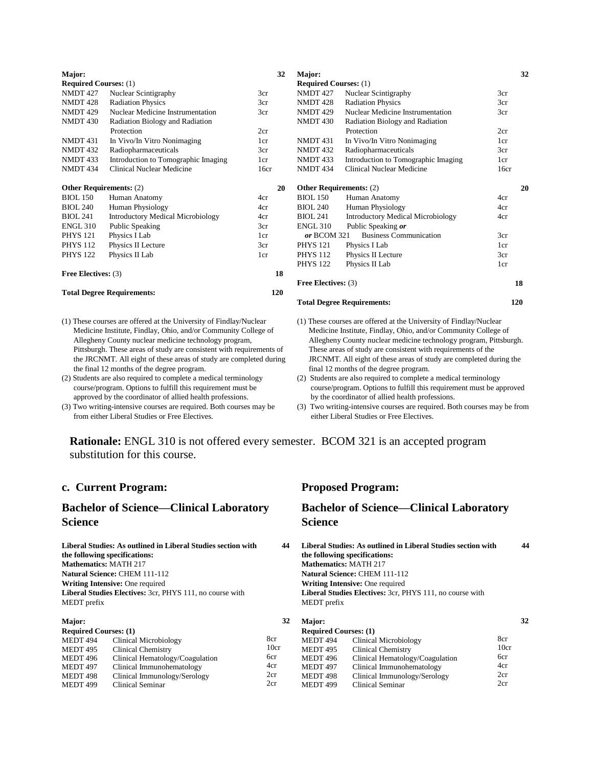| Major:                         |                                          | 32  |
|--------------------------------|------------------------------------------|-----|
| <b>Required Courses:</b> (1)   |                                          |     |
| <b>NMDT 427</b>                | Nuclear Scintigraphy                     | 3cr |
| <b>NMDT 428</b>                | <b>Radiation Physics</b>                 | 3cr |
| <b>NMDT 429</b>                | Nuclear Medicine Instrumentation         | 3cr |
| <b>NMDT 430</b>                | Radiation Biology and Radiation          |     |
|                                | Protection                               | 2cr |
| <b>NMDT 431</b>                | In Vivo/In Vitro Nonimaging              | 1cr |
| <b>NMDT 432</b>                | Radiopharmaceuticals                     | 3cr |
| <b>NMDT 433</b>                | Introduction to Tomographic Imaging      | 1cr |
| NMDT 434                       | Clinical Nuclear Medicine<br>16cr        |     |
|                                |                                          |     |
| <b>Other Requirements: (2)</b> |                                          | 20  |
| <b>BIOL</b> 150                | Human Anatomy                            | 4cr |
| <b>BIOL 240</b>                | Human Physiology                         | 4cr |
| <b>BIOL 241</b>                | <b>Introductory Medical Microbiology</b> | 4cr |
| <b>ENGL 310</b>                | Public Speaking                          | 3cr |
| <b>PHYS 121</b>                | Physics I Lab                            | 1cr |
| <b>PHYS 112</b>                | Physics II Lecture                       | 3cr |
| <b>PHYS 122</b>                | Physics II Lab                           | 1cr |
| <b>Free Electives: (3)</b>     |                                          | 18  |
|                                | <b>Total Degree Requirements:</b>        | 120 |

- (1) These courses are offered at the University of Findlay/Nuclear Medicine Institute, Findlay, Ohio, and/or Community College of Allegheny County nuclear medicine technology program, Pittsburgh. These areas of study are consistent with requirements of the JRCNMT. All eight of these areas of study are completed during the final 12 months of the degree program.
- (2) Students are also required to complete a medical terminology course/program. Options to fulfill this requirement must be approved by the coordinator of allied health professions.
- (3) Two writing-intensive courses are required. Both courses may be from either Liberal Studies or Free Electives.

| Major:                         |                                          | 32   |
|--------------------------------|------------------------------------------|------|
| <b>Required Courses:</b> (1)   |                                          |      |
| <b>NMDT 427</b>                | Nuclear Scintigraphy                     | 3cr  |
| <b>NMDT 428</b>                | <b>Radiation Physics</b>                 | 3cr  |
| NMDT 429                       | Nuclear Medicine Instrumentation         | 3cr  |
| <b>NMDT 430</b>                | Radiation Biology and Radiation          |      |
|                                | Protection                               | 2cr  |
| <b>NMDT 431</b>                | In Vivo/In Vitro Nonimaging              | 1cr  |
| <b>NMDT 432</b>                | Radiopharmaceuticals                     | 3cr  |
| <b>NMDT 433</b>                | Introduction to Tomographic Imaging      | 1cr  |
| <b>NMDT 434</b>                | Clinical Nuclear Medicine                | 16cr |
| <b>Other Requirements: (2)</b> |                                          | 20   |
| <b>BIOL 150</b>                | Human Anatomy                            | 4cr  |
| <b>BIOL 240</b>                | Human Physiology                         | 4cr  |
| <b>BIOL 241</b>                | <b>Introductory Medical Microbiology</b> | 4cr  |
| <b>ENGL 310</b>                | Public Speaking or                       |      |
| or BCOM 321                    | <b>Business Communication</b>            | 3cr  |
| <b>PHYS 121</b>                | Physics I Lab                            | 1cr  |
| <b>PHYS 112</b>                | Physics II Lecture                       | 3cr  |
| <b>PHYS 122</b>                | Physics II Lab                           | 1cr  |
| <b>Free Electives: (3)</b>     |                                          | 18   |
|                                | <b>Total Degree Requirements:</b>        | 120  |

- (1) These courses are offered at the University of Findlay/Nuclear Medicine Institute, Findlay, Ohio, and/or Community College of Allegheny County nuclear medicine technology program, Pittsburgh. These areas of study are consistent with requirements of the JRCNMT. All eight of these areas of study are completed during the final 12 months of the degree program.
- (2) Students are also required to complete a medical terminology course/program. Options to fulfill this requirement must be approved by the coordinator of allied health professions.
- (3) Two writing-intensive courses are required. Both courses may be from either Liberal Studies or Free Electives.

**Rationale:** ENGL 310 is not offered every semester. BCOM 321 is an accepted program substitution for this course.

### **c. Current Program: Proposed Program:**

### **Bachelor of Science—Clinical Laboratory Science**

**Liberal Studies: As outlined in Liberal Studies section with 44 the following specifications: Mathematics:** MATH 217 **Natural Science:** CHEM 111-112 **Writing Intensive:** One required **Liberal Studies Electives:** 3cr, PHYS 111, no course with MEDT prefix

| <b>Required Courses: (1)</b>    |      |
|---------------------------------|------|
| Clinical Microbiology           | 8cr  |
| <b>Clinical Chemistry</b>       | 10cr |
| Clinical Hematology/Coagulation | 6cr  |
| Clinical Immunohematology       | 4cr  |
| Clinical Immunology/Serology    | 2cr  |
| Clinical Seminar                | 2cr  |
|                                 |      |

### **Bachelor of Science—Clinical Laboratory Science**

**Liberal Studies: As outlined in Liberal Studies section with 44 the following specifications: Mathematics:** MATH 217 **Natural Science:** CHEM 111-112 **Writing Intensive:** One required **Liberal Studies Electives:** 3cr, PHYS 111, no course with MEDT prefix  **32 Major: 32**

| тани.                        |                                 |      |
|------------------------------|---------------------------------|------|
| <b>Required Courses: (1)</b> |                                 |      |
| <b>MEDT 494</b>              | <b>Clinical Microbiology</b>    | 8cr  |
| MEDT 495                     | <b>Clinical Chemistry</b>       | 10cr |
| MEDT 496                     | Clinical Hematology/Coagulation | 6cr  |
| MEDT 497                     | Clinical Immunohematology       | 4cr  |
| MEDT 498                     | Clinical Immunology/Serology    | 2cr  |
| <b>MEDT 499</b>              | Clinical Seminar                | 2cr  |
|                              |                                 |      |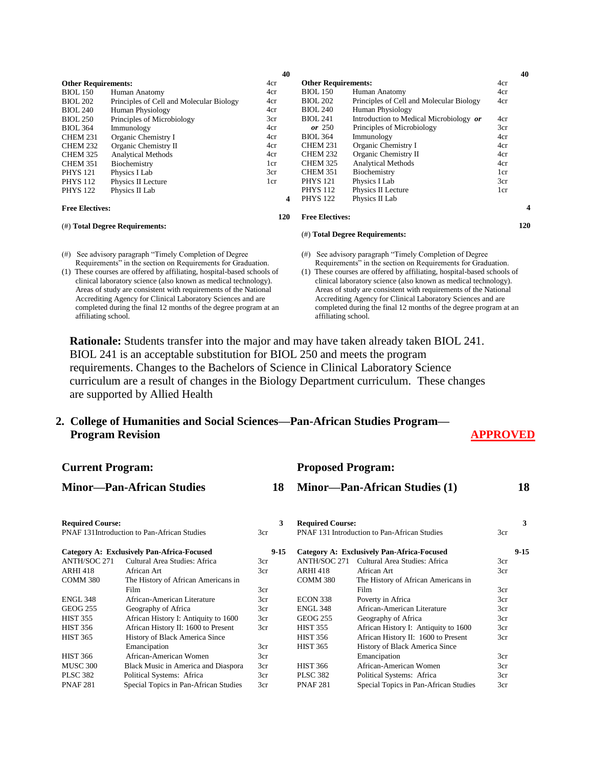|                            |                                          | 40  |                        |                                          |     | 40 |
|----------------------------|------------------------------------------|-----|------------------------|------------------------------------------|-----|----|
| <b>Other Requirements:</b> |                                          | 4cr |                        | <b>Other Requirements:</b>               |     |    |
| <b>BIOL</b> 150            | Human Anatomy                            | 4cr | <b>BIOL</b> 150        | Human Anatomy                            | 4cr |    |
| <b>BIOL 202</b>            | Principles of Cell and Molecular Biology | 4cr | <b>BIOL 202</b>        | Principles of Cell and Molecular Biology | 4cr |    |
| <b>BIOL 240</b>            | <b>Human Physiology</b>                  | 4cr | <b>BIOL 240</b>        | Human Physiology                         |     |    |
| <b>BIOL 250</b>            | Principles of Microbiology               | 3cr | <b>BIOL 241</b>        | Introduction to Medical Microbiology or  | 4cr |    |
| <b>BIOL 364</b>            | Immunology                               | 4cr | or $250$               | Principles of Microbiology               | 3cr |    |
| CHEM 231                   | Organic Chemistry I                      | 4cr | <b>BIOL 364</b>        | Immunology                               | 4cr |    |
| <b>CHEM 232</b>            | Organic Chemistry II                     | 4cr | <b>CHEM 231</b>        | Organic Chemistry I                      | 4cr |    |
| <b>CHEM 325</b>            | <b>Analytical Methods</b>                | 4cr | <b>CHEM 232</b>        | Organic Chemistry II                     | 4cr |    |
| <b>CHEM 351</b>            | Biochemistry                             | 1cr | <b>CHEM 325</b>        | <b>Analytical Methods</b>                | 4cr |    |
| <b>PHYS 121</b>            | Physics I Lab                            | 3cr | <b>CHEM 351</b>        | Biochemistry                             | 1cr |    |
| <b>PHYS 112</b>            | Physics II Lecture                       | 1cr | <b>PHYS 121</b>        | Physics I Lab                            | 3cr |    |
| <b>PHYS 122</b>            | Physics II Lab                           |     | <b>PHYS 112</b>        | Physics II Lecture                       | 1cr |    |
|                            |                                          | 4   | <b>PHYS 122</b>        | Physics II Lab                           |     |    |
| <b>Free Electives:</b>     |                                          |     |                        |                                          |     |    |
|                            |                                          | 120 | <b>Free Electives:</b> |                                          |     |    |

### (#) **Total Degree Requirements:**

### (#) See advisory paragraph "Timely Completion of Degree

 Requirements" in the section on Requirements for Graduation. (1) These courses are offered by affiliating, hospital-based schools of clinical laboratory science (also known as medical technology). Areas of study are consistent with requirements of the National Accrediting Agency for Clinical Laboratory Sciences and are completed during the final 12 months of the degree program at an affiliating school.

### **Free Electives:**

### (#) **Total Degree Requirements:**

- (#) See advisory paragraph "Timely Completion of Degree Requirements" in the section on Requirements for Graduation.
- (1) These courses are offered by affiliating, hospital-based schools of clinical laboratory science (also known as medical technology). Areas of study are consistent with requirements of the National Accrediting Agency for Clinical Laboratory Sciences and are completed during the final 12 months of the degree program at an affiliating school.

**Rationale:** Students transfer into the major and may have taken already taken BIOL 241. BIOL 241 is an acceptable substitution for BIOL 250 and meets the program requirements. Changes to the Bachelors of Science in Clinical Laboratory Science curriculum are a result of changes in the Biology Department curriculum. These changes are supported by Allied Health

**Current Program: Proposed Program:**

# **2. College of Humanities and Social Sciences—Pan-African Studies Program— Program Revision** APPROVED

 **120**

| Carrent Frogram.                 |                                                    |          | TTOPOSCU TTOGIAMI.                   |                                              |     |          |
|----------------------------------|----------------------------------------------------|----------|--------------------------------------|----------------------------------------------|-----|----------|
| <b>Minor-Pan-African Studies</b> |                                                    | 18       | <b>Minor—Pan-African Studies (1)</b> |                                              | 18  |          |
| <b>Required Course:</b>          | <b>PNAF 131Introduction to Pan-African Studies</b> | 3<br>3cr | <b>Required Course:</b>              | PNAF 131 Introduction to Pan-African Studies | 3cr | 3        |
|                                  |                                                    |          |                                      |                                              |     |          |
|                                  | Category A: Exclusively Pan-Africa-Focused         | $9 - 15$ |                                      | Category A: Exclusively Pan-Africa-Focused   |     | $9 - 15$ |
| <b>ANTH/SOC 271</b>              | Cultural Area Studies: Africa                      | 3cr      | <b>ANTH/SOC 271</b>                  | Cultural Area Studies: Africa                | 3cr |          |
| <b>ARHI 418</b>                  | African Art                                        | 3cr      | <b>ARHI 418</b>                      | African Art                                  | 3cr |          |
| COMM 380                         | The History of African Americans in                |          | COMM 380                             | The History of African Americans in          |     |          |
|                                  | Film                                               | 3cr      |                                      | Film                                         | 3cr |          |
| <b>ENGL 348</b>                  | African-American Literature                        | 3cr      | ECON 338                             | Poverty in Africa                            | 3cr |          |
| <b>GEOG 255</b>                  | Geography of Africa                                | 3cr      | <b>ENGL 348</b>                      | African-American Literature                  | 3cr |          |
| <b>HIST 355</b>                  | African History I: Antiquity to 1600               | 3cr      | <b>GEOG 255</b>                      | Geography of Africa                          | 3cr |          |
| <b>HIST 356</b>                  | African History II: 1600 to Present                | 3cr      | <b>HIST 355</b>                      | African History I: Antiquity to 1600         | 3cr |          |
| <b>HIST 365</b>                  | History of Black America Since                     |          | <b>HIST 356</b>                      | African History II: 1600 to Present          | 3cr |          |
|                                  | Emancipation                                       | 3cr      | <b>HIST 365</b>                      | History of Black America Since               |     |          |
| <b>HIST 366</b>                  | African-American Women                             | 3cr      |                                      | Emancipation                                 | 3cr |          |
| MUSC 300                         | Black Music in America and Diaspora                | 3cr      | <b>HIST 366</b>                      | African-American Women                       | 3cr |          |
| <b>PLSC 382</b>                  | Political Systems: Africa                          | 3cr      | <b>PLSC 382</b>                      | Political Systems: Africa                    | 3cr |          |
| <b>PNAF281</b>                   | Special Topics in Pan-African Studies              | 3cr      | <b>PNAF281</b>                       | Special Topics in Pan-African Studies        | 3cr |          |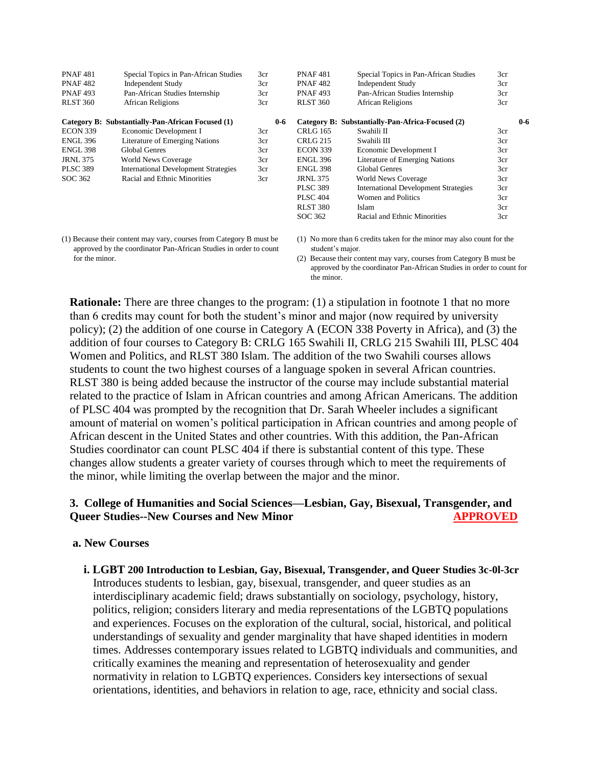| <b>PNAF481</b>  | Special Topics in Pan-African Studies             | 3cr     | <b>PNAF481</b>  | Special Topics in Pan-African Studies            | 3cr |         |
|-----------------|---------------------------------------------------|---------|-----------------|--------------------------------------------------|-----|---------|
| <b>PNAF482</b>  | <b>Independent Study</b>                          | 3cr     | <b>PNAF482</b>  | <b>Independent Study</b>                         | 3cr |         |
| <b>PNAF493</b>  | Pan-African Studies Internship                    | 3cr     | <b>PNAF493</b>  | Pan-African Studies Internship                   | 3cr |         |
| <b>RLST 360</b> | <b>African Religions</b>                          | 3cr     | <b>RLST 360</b> | African Religions                                | 3cr |         |
|                 | Category B: Substantially-Pan-African Focused (1) | $0 - 6$ |                 | Category B: Substantially-Pan-Africa-Focused (2) |     | $0 - 6$ |
| <b>ECON 339</b> | Economic Development I                            | 3cr     | CRLG 165        | Swahili II                                       | 3cr |         |
| <b>ENGL 396</b> | <b>Literature of Emerging Nations</b>             | 3cr     | <b>CRLG 215</b> | Swahili III                                      | 3cr |         |
| <b>ENGL 398</b> | Global Genres                                     | 3cr     | <b>ECON 339</b> | Economic Development I                           | 3cr |         |
| <b>JRNL 375</b> | <b>World News Coverage</b>                        | 3cr     | <b>ENGL 396</b> | <b>Literature of Emerging Nations</b>            | 3cr |         |
| <b>PLSC 389</b> | <b>International Development Strategies</b>       | 3cr     | <b>ENGL 398</b> | <b>Global Genres</b>                             | 3cr |         |
| SOC 362         | Racial and Ethnic Minorities                      | 3cr     | JRNL 375        | <b>World News Coverage</b>                       | 3cr |         |
|                 |                                                   |         | <b>PLSC 389</b> | <b>International Development Strategies</b>      | 3cr |         |
|                 |                                                   |         | <b>PLSC 404</b> | Women and Politics                               | 3cr |         |
|                 |                                                   |         | <b>RLST 380</b> | Islam                                            | 3cr |         |
|                 |                                                   |         | SOC 362         | Racial and Ethnic Minorities                     | 3cr |         |

 approved by the coordinator Pan-African Studies in order to count for the minor.

(1) No more than 6 credits taken for the minor may also count for the student's major.

(2) Because their content may vary, courses from Category B must be approved by the coordinator Pan-African Studies in order to count for the minor.

**Rationale:** There are three changes to the program: (1) a stipulation in footnote 1 that no more than 6 credits may count for both the student's minor and major (now required by university policy); (2) the addition of one course in Category A (ECON 338 Poverty in Africa), and (3) the addition of four courses to Category B: CRLG 165 Swahili II, CRLG 215 Swahili III, PLSC 404 Women and Politics, and RLST 380 Islam. The addition of the two Swahili courses allows students to count the two highest courses of a language spoken in several African countries. RLST 380 is being added because the instructor of the course may include substantial material related to the practice of Islam in African countries and among African Americans. The addition of PLSC 404 was prompted by the recognition that Dr. Sarah Wheeler includes a significant amount of material on women's political participation in African countries and among people of African descent in the United States and other countries. With this addition, the Pan-African Studies coordinator can count PLSC 404 if there is substantial content of this type. These changes allow students a greater variety of courses through which to meet the requirements of the minor, while limiting the overlap between the major and the minor.

## **3. College of Humanities and Social Sciences—Lesbian, Gay, Bisexual, Transgender, and COUTSERVIER APPROVED COUTSES AND MINOR APPROVED**

### **a. New Courses**

**i. LGBT 200 Introduction to Lesbian, Gay, Bisexual, Transgender, and Queer Studies 3c-0l-3cr** Introduces students to lesbian, gay, bisexual, transgender, and queer studies as an interdisciplinary academic field; draws substantially on sociology, psychology, history, politics, religion; considers literary and media representations of the LGBTQ populations and experiences. Focuses on the exploration of the cultural, social, historical, and political understandings of sexuality and gender marginality that have shaped identities in modern times. Addresses contemporary issues related to LGBTQ individuals and communities, and critically examines the meaning and representation of heterosexuality and gender normativity in relation to LGBTQ experiences. Considers key intersections of sexual orientations, identities, and behaviors in relation to age, race, ethnicity and social class.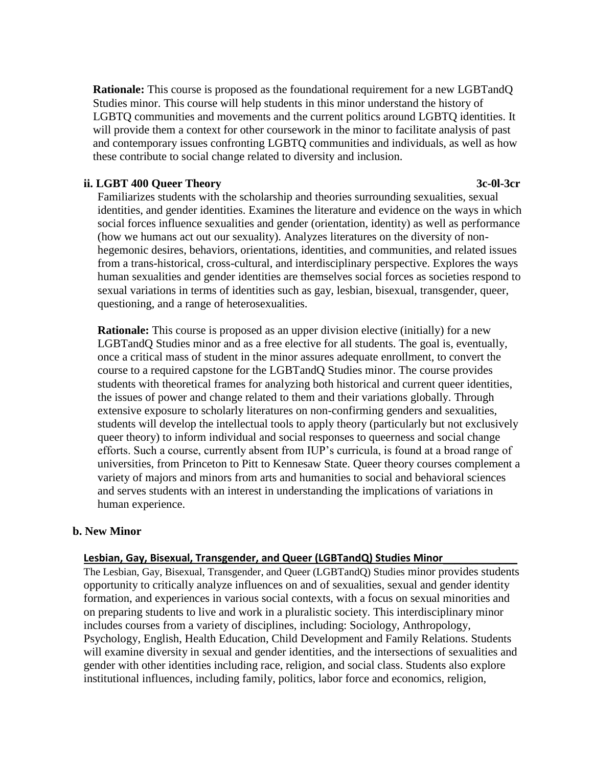**Rationale:** This course is proposed as the foundational requirement for a new LGBTandQ Studies minor. This course will help students in this minor understand the history of LGBTQ communities and movements and the current politics around LGBTQ identities. It will provide them a context for other coursework in the minor to facilitate analysis of past and contemporary issues confronting LGBTQ communities and individuals, as well as how these contribute to social change related to diversity and inclusion.

### **ii. LGBT 400 Queer Theory 3c-0l-3cr**

Familiarizes students with the scholarship and theories surrounding sexualities, sexual identities, and gender identities. Examines the literature and evidence on the ways in which social forces influence sexualities and gender (orientation, identity) as well as performance (how we humans act out our sexuality). Analyzes literatures on the diversity of nonhegemonic desires, behaviors, orientations, identities, and communities, and related issues from a trans-historical, cross-cultural, and interdisciplinary perspective. Explores the ways human sexualities and gender identities are themselves social forces as societies respond to sexual variations in terms of identities such as gay, lesbian, bisexual, transgender, queer, questioning, and a range of heterosexualities.

**Rationale:** This course is proposed as an upper division elective (initially) for a new LGBTandQ Studies minor and as a free elective for all students. The goal is, eventually, once a critical mass of student in the minor assures adequate enrollment, to convert the course to a required capstone for the LGBTandQ Studies minor. The course provides students with theoretical frames for analyzing both historical and current queer identities, the issues of power and change related to them and their variations globally. Through extensive exposure to scholarly literatures on non-confirming genders and sexualities, students will develop the intellectual tools to apply theory (particularly but not exclusively queer theory) to inform individual and social responses to queerness and social change efforts. Such a course, currently absent from IUP's curricula, is found at a broad range of universities, from Princeton to Pitt to Kennesaw State. Queer theory courses complement a variety of majors and minors from arts and humanities to social and behavioral sciences and serves students with an interest in understanding the implications of variations in human experience.

## **b. New Minor**

## **Lesbian, Gay, Bisexual, Transgender, and Queer (LGBTandQ) Studies Minor**\_\_\_\_\_\_\_\_\_\_\_\_\_

The Lesbian, Gay, Bisexual, Transgender, and Queer (LGBTandQ) Studies minor provides students opportunity to critically analyze influences on and of sexualities, sexual and gender identity formation, and experiences in various social contexts, with a focus on sexual minorities and on preparing students to live and work in a pluralistic society. This interdisciplinary minor includes courses from a variety of disciplines, including: Sociology, Anthropology, Psychology, English, Health Education, Child Development and Family Relations. Students will examine diversity in sexual and gender identities, and the intersections of sexualities and gender with other identities including race, religion, and social class. Students also explore institutional influences, including family, politics, labor force and economics, religion,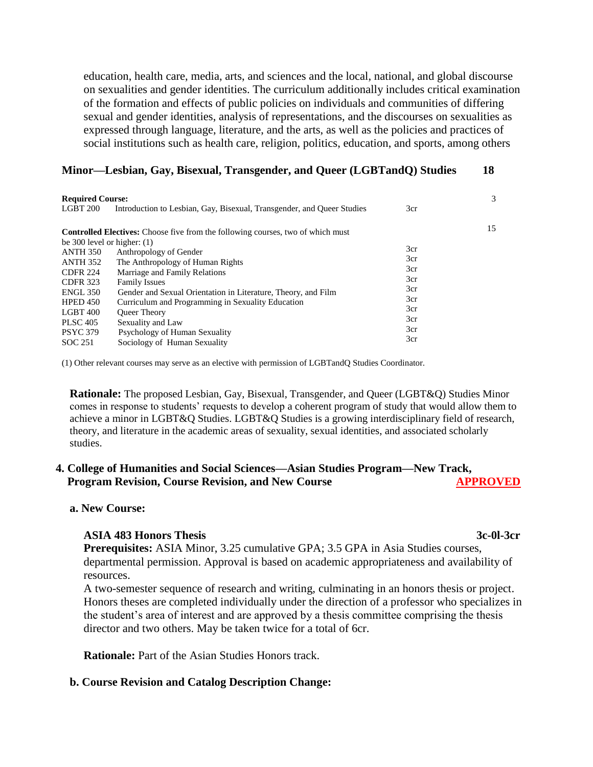education, health care, media, arts, and sciences and the local, national, and global discourse on sexualities and gender identities. The curriculum additionally includes critical examination of the formation and effects of public policies on individuals and communities of differing sexual and gender identities, analysis of representations, and the discourses on sexualities as expressed through language, literature, and the arts, as well as the policies and practices of social institutions such as health care, religion, politics, education, and sports, among others

### **Minor—Lesbian, Gay, Bisexual, Transgender, and Queer (LGBTandQ) Studies 18**

| <b>Required Course:</b>            |                                                                                                                    |                   | 3  |
|------------------------------------|--------------------------------------------------------------------------------------------------------------------|-------------------|----|
| LGBT 200                           | Introduction to Lesbian, Gay, Bisexual, Transgender, and Queer Studies                                             | 3cr               |    |
| be 300 level or higher: $(1)$      | <b>Controlled Electives:</b> Choose five from the following courses, two of which must                             |                   | 15 |
| <b>ANTH 350</b><br>ANTH 352        | Anthropology of Gender<br>The Anthropology of Human Rights                                                         | 3cr<br>3cr        |    |
| <b>CDFR 224</b><br><b>CDFR 323</b> | Marriage and Family Relations<br><b>Family Issues</b>                                                              | 3cr<br>3cr        |    |
| <b>ENGL 350</b><br><b>HPED 450</b> | Gender and Sexual Orientation in Literature, Theory, and Film<br>Curriculum and Programming in Sexuality Education | 3cr<br>3cr<br>3cr |    |
| $LGBT$ 400<br><b>PLSC 405</b>      | <b>Oueer Theory</b><br>Sexuality and Law                                                                           | 3cr<br>3cr        |    |
| <b>PSYC 379</b><br>SOC 251         | Psychology of Human Sexuality<br>Sociology of Human Sexuality                                                      | 3cr               |    |

(1) Other relevant courses may serve as an elective with permission of LGBTandQ Studies Coordinator.

**Rationale:** The proposed Lesbian, Gay, Bisexual, Transgender, and Queer (LGBT&Q) Studies Minor comes in response to students' requests to develop a coherent program of study that would allow them to achieve a minor in LGBT&Q Studies. LGBT&Q Studies is a growing interdisciplinary field of research, theory, and literature in the academic areas of sexuality, sexual identities, and associated scholarly studies.

## **4. College of Humanities and Social Sciences—Asian Studies Program—New Track, Program Revision, Course Revision, and New Course APPROVED**

### **a. New Course:**

### **ASIA 483 Honors Thesis 3c-0l-3cr**

**Prerequisites:** ASIA Minor, 3.25 cumulative GPA; 3.5 GPA in Asia Studies courses, departmental permission. Approval is based on academic appropriateness and availability of resources.

A two-semester sequence of research and writing, culminating in an honors thesis or project. Honors theses are completed individually under the direction of a professor who specializes in the student's area of interest and are approved by a thesis committee comprising the thesis director and two others. May be taken twice for a total of 6cr.

**Rationale:** Part of the Asian Studies Honors track.

### **b. Course Revision and Catalog Description Change:**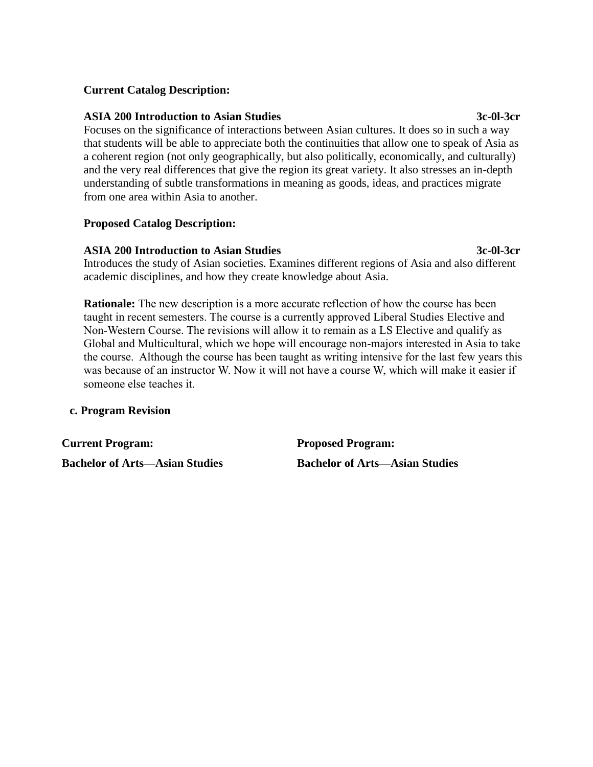## **Current Catalog Description:**

### **ASIA 200 Introduction to Asian Studies 3c-0l-3cr**

Focuses on the significance of interactions between Asian cultures. It does so in such a way that students will be able to appreciate both the continuities that allow one to speak of Asia as a coherent region (not only geographically, but also politically, economically, and culturally) and the very real differences that give the region its great variety. It also stresses an in-depth understanding of subtle transformations in meaning as goods, ideas, and practices migrate from one area within Asia to another.

## **Proposed Catalog Description:**

## **ASIA 200 Introduction to Asian Studies 3c-0l-3cr**

Introduces the study of Asian societies. Examines different regions of Asia and also different academic disciplines, and how they create knowledge about Asia.

**Rationale:** The new description is a more accurate reflection of how the course has been taught in recent semesters. The course is a currently approved Liberal Studies Elective and Non-Western Course. The revisions will allow it to remain as a LS Elective and qualify as Global and Multicultural, which we hope will encourage non-majors interested in Asia to take the course. Although the course has been taught as writing intensive for the last few years this was because of an instructor W. Now it will not have a course W, which will make it easier if someone else teaches it.

## **c. Program Revision**

**Current Program: Proposed Program:**

**Bachelor of Arts—Asian Studies Bachelor of Arts—Asian Studies**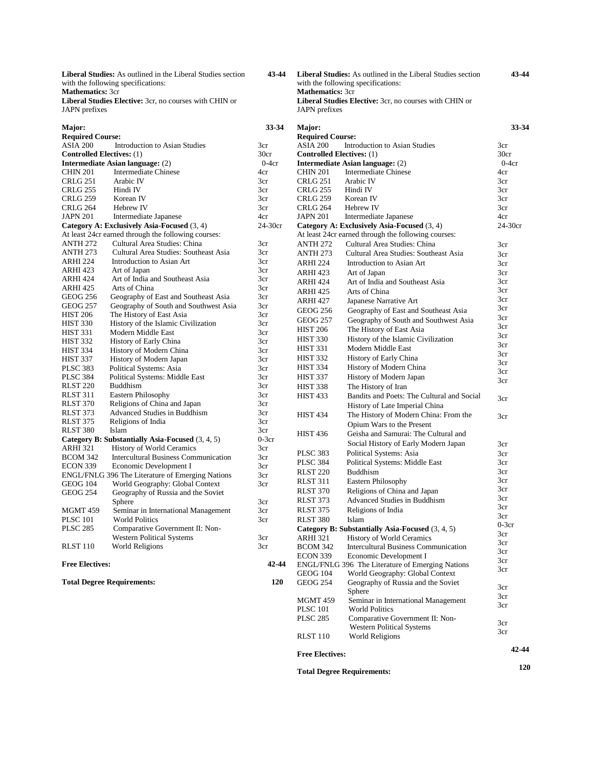**Liberal Studies:** As outlined in the Liberal Studies section with the following specifications: **Mathematics:** 3cr

**Liberal Studies Elective:** 3cr, no courses with CHIN or JAPN prefixes

| Major:                           |                                                         | 33-34           |
|----------------------------------|---------------------------------------------------------|-----------------|
| <b>Required Course:</b>          |                                                         |                 |
| ASIA 200                         | <b>Introduction to Asian Studies</b>                    | 3cr             |
| <b>Controlled Electives:</b> (1) |                                                         | 30cr            |
|                                  | Intermediate Asian language: (2)                        | $0-4cr$         |
| <b>CHIN 201</b>                  | <b>Intermediate Chinese</b>                             | 4cr             |
| <b>CRLG 251</b>                  | Arabic IV                                               | 3cr             |
| <b>CRLG 255</b>                  | Hindi IV                                                | 3cr             |
| CRLG 259                         | Korean IV                                               | 3cr             |
| <b>CRLG 264</b>                  | Hebrew IV                                               | 3cr             |
| <b>JAPN 201</b>                  | Intermediate Japanese                                   | 4cr             |
|                                  | Category A: Exclusively Asia-Focused (3, 4)             | 24-30cr         |
|                                  | At least 24cr earned through the following courses:     |                 |
| <b>ANTH 272</b>                  | Cultural Area Studies: China                            | 3cr             |
| <b>ANTH 273</b>                  | Cultural Area Studies: Southeast Asia                   | 3cr             |
| ARHI 224                         | <b>Introduction to Asian Art</b>                        | 3cr             |
| ARHI 423                         | Art of Japan                                            | 3cr             |
| ARHI 424                         | Art of India and Southeast Asia                         | 3cr             |
| ARHI 425                         | Arts of China                                           | 3cr             |
| <b>GEOG 256</b>                  | Geography of East and Southeast Asia                    | 3cr             |
| <b>GEOG 257</b>                  | Geography of South and Southwest Asia                   | 3cr             |
| <b>HIST 206</b>                  | The History of East Asia                                | 3cr             |
| <b>HIST 330</b>                  | History of the Islamic Civilization                     | 3cr             |
| <b>HIST 331</b>                  | Modern Middle East                                      | 3cr             |
| <b>HIST 332</b>                  | <b>History of Early China</b>                           | 3cr             |
| <b>HIST 334</b>                  | History of Modern China                                 | 3cr             |
| <b>HIST 337</b>                  | History of Modern Japan                                 | 3cr             |
| <b>PLSC 383</b>                  | <b>Political Systems: Asia</b>                          | 3cr             |
| <b>PLSC 384</b>                  | Political Systems: Middle East                          | 3cr             |
| <b>RLST 220</b>                  | <b>Buddhism</b>                                         | 3cr             |
| RLST 311                         | Eastern Philosophy                                      | 3cr             |
| <b>RLST 370</b>                  | Religions of China and Japan                            | 3cr             |
| <b>RLST 373</b>                  | Advanced Studies in Buddhism                            | 3 <sub>cr</sub> |
| <b>RLST 375</b>                  | Religions of India                                      | 3cr             |
| <b>RLST 380</b>                  | Islam                                                   | 3 <sub>cr</sub> |
|                                  | Category B: Substantially Asia-Focused (3, 4, 5)        | $0-3cr$         |
| ARHI 321                         | <b>History of World Ceramics</b>                        | 3cr             |
| <b>BCOM 342</b>                  | <b>Intercultural Business Communication</b>             | 3cr             |
| <b>ECON 339</b>                  | Economic Development I                                  | 3cr             |
|                                  | <b>ENGL/FNLG 396 The Literature of Emerging Nations</b> | 3cr             |
| <b>GEOG 104</b>                  | World Geography: Global Context                         | 3cr             |
| <b>GEOG 254</b>                  | Geography of Russia and the Soviet                      |                 |
|                                  | Sphere                                                  | 3cr             |
| MGMT <sub>459</sub>              | Seminar in International Management                     | 3 <sub>cr</sub> |
| <b>PLSC 101</b>                  | <b>World Politics</b>                                   | 3cr             |
| <b>PLSC 285</b>                  | Comparative Government II: Non-                         |                 |
|                                  | Western Political Systems                               | 3cr             |
| RLST 110                         | World Religions                                         | 3cr             |
| <b>Free Electives:</b>           |                                                         | 42-44           |

**Total Degree Requirements:** 

 **43-44 Liberal Studies:** As outlined in the Liberal Studies section with the following specifications: Mathematics: 3cr **Liberal Studies Elective:** 3cr, no courses with CHIN or JAPN prefixes

 **43-44**

 **42-44 120**

| Major:                             |                                                                                     | 33-34      |
|------------------------------------|-------------------------------------------------------------------------------------|------------|
| <b>Required Course:</b>            |                                                                                     |            |
| ASIA 200                           | <b>Introduction to Asian Studies</b>                                                | 3cr        |
| <b>Controlled Electives:</b> (1)   |                                                                                     | 30cr       |
|                                    | Intermediate Asian language: (2)                                                    | $0-4cr$    |
| <b>CHIN 201</b>                    | <b>Intermediate Chinese</b>                                                         | 4cr        |
| <b>CRLG 251</b>                    | Arabic IV                                                                           | 3cr        |
| CRLG 255                           | Hindi IV                                                                            | 3cr        |
| CRLG 259                           | Korean IV                                                                           | 3cr        |
| CRLG 264                           | Hebrew IV                                                                           | 3cr        |
| JAPN 201                           | Intermediate Japanese                                                               | 4cr        |
|                                    | Category A: Exclusively Asia-Focused (3, 4)                                         | 24-30cr    |
|                                    | At least 24cr earned through the following courses:                                 |            |
| <b>ANTH 272</b>                    | Cultural Area Studies: China                                                        | 3cr        |
| <b>ANTH 273</b>                    | Cultural Area Studies: Southeast Asia                                               | 3cr        |
| ARHI 224                           | Introduction to Asian Art                                                           | 3cr        |
| ARHI 423                           | Art of Japan                                                                        | 3cr        |
| ARHI 424                           | Art of India and Southeast Asia                                                     | 3cr        |
| ARHI 425                           | Arts of China                                                                       | 3cr        |
| <b>ARHI 427</b>                    | Japanese Narrative Art                                                              | 3cr        |
| <b>GEOG 256</b>                    | Geography of East and Southeast Asia                                                | 3cr        |
| <b>GEOG 257</b>                    | Geography of South and Southwest Asia                                               | 3cr        |
| <b>HIST 206</b>                    | The History of East Asia                                                            | 3cr        |
| <b>HIST 330</b>                    | History of the Islamic Civilization                                                 | 3cr        |
| <b>HIST 331</b>                    | Modern Middle East                                                                  | 3cr        |
| <b>HIST 332</b>                    | History of Early China                                                              | 3cr        |
| <b>HIST 334</b>                    | History of Modern China                                                             | 3cr        |
| <b>HIST 337</b>                    | History of Modern Japan                                                             | 3cr        |
| <b>HIST 338</b>                    | The History of Iran                                                                 | 3cr        |
| <b>HIST 433</b>                    | Bandits and Poets: The Cultural and Social                                          |            |
|                                    | History of Late Imperial China                                                      | 3cr        |
| <b>HIST 434</b>                    | The History of Modern China: From the                                               | 3cr        |
|                                    | Opium Wars to the Present                                                           |            |
| <b>HIST 436</b>                    | Geisha and Samurai: The Cultural and                                                |            |
|                                    | Social History of Early Modern Japan                                                |            |
| <b>PLSC 383</b>                    | Political Systems: Asia                                                             | 3cr        |
| <b>PLSC 384</b>                    | Political Systems: Middle East                                                      | 3cr<br>3cr |
|                                    | <b>Buddhism</b>                                                                     | 3cr        |
| <b>RLST 220</b>                    |                                                                                     | 3cr        |
| <b>RLST 311</b>                    | Eastern Philosophy                                                                  | 3cr        |
| <b>RLST 370</b>                    | Religions of China and Japan                                                        | 3cr        |
| <b>RLST 373</b>                    | Advanced Studies in Buddhism                                                        | 3cr        |
| <b>RLST 375</b>                    | Religions of India                                                                  | 3cr        |
| <b>RLST 380</b>                    | Islam                                                                               | $0-3cr$    |
|                                    | Category B: Substantially Asia-Focused (3, 4, 5)                                    | 3cr        |
| <b>ARHI 321</b>                    | <b>History of World Ceramics</b>                                                    | 3cr        |
| <b>BCOM 342</b>                    | <b>Intercultural Business Communication</b>                                         | 3cr        |
| ECON 339                           | Economic Development I                                                              | зcг        |
|                                    | ENGL/FNLG 396 The Literature of Emerging Nations<br>World Geography: Global Context | 3cr        |
| <b>GEOG 104</b><br><b>GEOG 254</b> | Geography of Russia and the Soviet                                                  |            |
|                                    | Sphere                                                                              | 3cr        |
| MGMT 459                           | Seminar in International Management                                                 | 3cr        |
| <b>PLSC 101</b>                    | <b>World Politics</b>                                                               | 3cr        |
| <b>PLSC 285</b>                    | Comparative Government II: Non-                                                     |            |
|                                    | <b>Western Political Systems</b>                                                    | 3cr        |
| RLST 110                           | World Religions                                                                     | 3cr        |
|                                    |                                                                                     |            |
| <b>Free Electives:</b>             |                                                                                     | 42-44      |
|                                    | <b>Total Degree Requirements:</b>                                                   | 120        |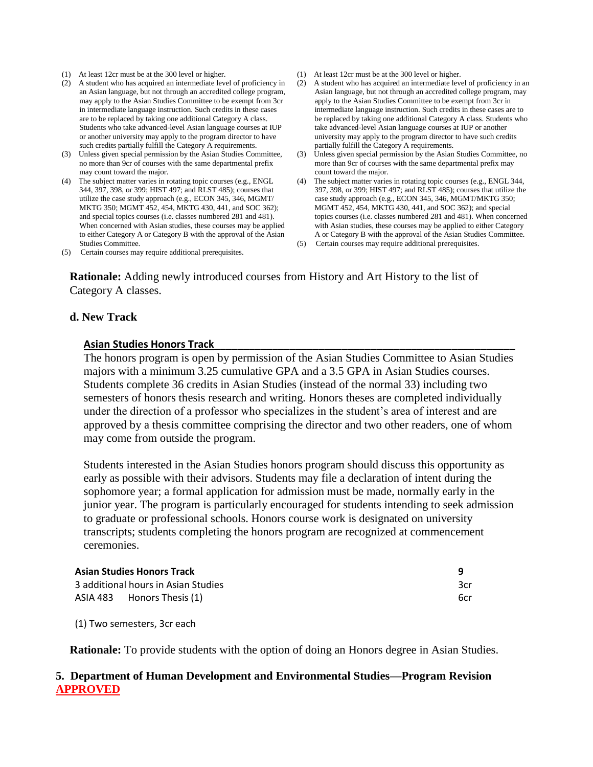- (1) At least 12cr must be at the 300 level or higher.
- (2) A student who has acquired an intermediate level of proficiency in an Asian language, but not through an accredited college program, may apply to the Asian Studies Committee to be exempt from 3cr in intermediate language instruction. Such credits in these cases are to be replaced by taking one additional Category A class. Students who take advanced-level Asian language courses at IUP or another university may apply to the program director to have such credits partially fulfill the Category A requirements.
- (3) Unless given special permission by the Asian Studies Committee, no more than 9cr of courses with the same departmental prefix may count toward the major.
- (4) The subject matter varies in rotating topic courses (e.g., ENGL 344, 397, 398, or 399; HIST 497; and RLST 485); courses that utilize the case study approach (e.g., ECON 345, 346, MGMT/ MKTG 350; MGMT 452, 454, MKTG 430, 441, and SOC 362); and special topics courses (i.e. classes numbered 281 and 481). When concerned with Asian studies, these courses may be applied to either Category A or Category B with the approval of the Asian Studies Committee.
- (5) Certain courses may require additional prerequisites.
- (1) At least 12cr must be at the 300 level or higher.
- (2) A student who has acquired an intermediate level of proficiency in an Asian language, but not through an accredited college program, may apply to the Asian Studies Committee to be exempt from 3cr in intermediate language instruction. Such credits in these cases are to be replaced by taking one additional Category A class. Students who take advanced-level Asian language courses at IUP or another university may apply to the program director to have such credits partially fulfill the Category A requirements.
- (3) Unless given special permission by the Asian Studies Committee, no more than 9cr of courses with the same departmental prefix may count toward the major.
- (4) The subject matter varies in rotating topic courses (e.g., ENGL 344, 397, 398, or 399; HIST 497; and RLST 485); courses that utilize the case study approach (e.g., ECON 345, 346, MGMT/MKTG 350; MGMT 452, 454, MKTG 430, 441, and SOC 362); and special topics courses (i.e. classes numbered 281 and 481). When concerned with Asian studies, these courses may be applied to either Category A or Category B with the approval of the Asian Studies Committee.
- (5) Certain courses may require additional prerequisites.

**Rationale:** Adding newly introduced courses from History and Art History to the list of Category A classes.

### **d. New Track**

### **Asian Studies Honors Track**\_\_\_\_\_\_\_\_\_\_\_\_\_\_\_\_\_\_\_\_\_\_\_\_\_\_\_\_\_\_\_\_\_\_\_\_\_\_\_\_\_\_\_\_\_\_\_\_\_\_\_\_

The honors program is open by permission of the Asian Studies Committee to Asian Studies majors with a minimum 3.25 cumulative GPA and a 3.5 GPA in Asian Studies courses. Students complete 36 credits in Asian Studies (instead of the normal 33) including two semesters of honors thesis research and writing. Honors theses are completed individually under the direction of a professor who specializes in the student's area of interest and are approved by a thesis committee comprising the director and two other readers, one of whom may come from outside the program.

Students interested in the Asian Studies honors program should discuss this opportunity as early as possible with their advisors. Students may file a declaration of intent during the sophomore year; a formal application for admission must be made, normally early in the junior year. The program is particularly encouraged for students intending to seek admission to graduate or professional schools. Honors course work is designated on university transcripts; students completing the honors program are recognized at commencement ceremonies.

| <b>Asian Studies Honors Track</b>   | q   |
|-------------------------------------|-----|
| 3 additional hours in Asian Studies | 3cr |
| ASIA 483 Honors Thesis (1)          | 6cr |

(1) Two semesters, 3cr each

**Rationale:** To provide students with the option of doing an Honors degree in Asian Studies.

### **5. Department of Human Development and Environmental Studies—Program Revision APPROVED**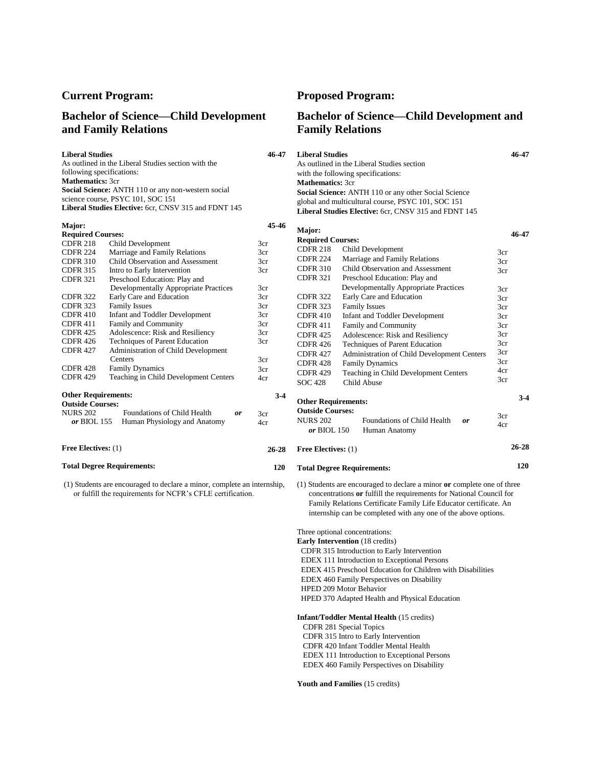### **Bachelor of Science—Child Development and Family Relations**

**Liberal Studies**  As outlined in the Liberal Studies section with the following specifications: **Mathematics:** 3cr **Social Science:** ANTH 110 or any non-western social science course, PSYC 101, SOC 151 **Liberal Studies Elective:** 6cr, CNSV 315 and FDNT 145

| Major:                     |                                       | 45-46 |
|----------------------------|---------------------------------------|-------|
| <b>Required Courses:</b>   |                                       |       |
| <b>CDFR 218</b>            | Child Development                     | 3cr   |
| <b>CDFR 224</b>            | Marriage and Family Relations         | 3cr   |
| <b>CDFR 310</b>            | Child Observation and Assessment      | 3cr   |
| <b>CDFR 315</b>            | Intro to Early Intervention           | 3cr   |
| <b>CDFR 321</b>            | Preschool Education: Play and         |       |
|                            | Developmentally Appropriate Practices | 3cr   |
| <b>CDFR 322</b>            | Early Care and Education              | 3cr   |
| <b>CDFR 323</b>            | <b>Family Issues</b>                  | 3cr   |
| <b>CDFR 410</b>            | Infant and Toddler Development        | 3cr   |
| <b>CDFR 411</b>            | <b>Family and Community</b>           | 3cr   |
| <b>CDFR 425</b>            | Adolescence: Risk and Resiliency      | 3cr   |
| <b>CDFR 426</b>            | Techniques of Parent Education        | 3cr   |
| <b>CDFR 427</b>            | Administration of Child Development   |       |
|                            | Centers                               | 3cr   |
| <b>CDFR 428</b>            | <b>Family Dynamics</b>                | 3cr   |
| <b>CDFR 429</b>            | Teaching in Child Development Centers | 4cr   |
| <b>Other Requirements:</b> |                                       | $3-4$ |
| <b>Outside Courses:</b>    |                                       |       |
| NURS 202                   | Foundations of Child Health<br>or     | 3cr   |
| <i>or</i> BIOL 155         | Human Physiology and Anatomy          | 4cr   |
| <b>Free Electives:</b> (1) |                                       | 26-28 |

(1) Students are encouraged to declare a minor, complete an internship, or fulfill the requirements for NCFR's CFLE certification.

**Total Degree Requirements:** 

### **Current Program: Proposed Program:**

**46-47**

 **26-28 120**

### **Bachelor of Science—Child Development and Family Relations**

| <b>Liberal Studies</b>                                      | 46-47 |
|-------------------------------------------------------------|-------|
| As outlined in the Liberal Studies section                  |       |
| with the following specifications:                          |       |
| <b>Mathematics: 3cr</b>                                     |       |
| <b>Social Science:</b> ANTH 110 or any other Social Science |       |
| global and multicultural course, PSYC 101, SOC 151          |       |
| <b>Liberal Studies Elective:</b> 6cr, CNSV 315 and FDNT 145 |       |

| Major:                                                |                                             | 46-47     |
|-------------------------------------------------------|---------------------------------------------|-----------|
| <b>Required Courses:</b>                              |                                             |           |
| <b>CDFR 218</b>                                       | Child Development                           | 3cr       |
| CDFR 224                                              | Marriage and Family Relations               | 3cr       |
| <b>CDFR 310</b>                                       | Child Observation and Assessment            | 3cr       |
| <b>CDFR 321</b>                                       | Preschool Education: Play and               |           |
|                                                       | Developmentally Appropriate Practices       | 3cr       |
| <b>CDFR 322</b>                                       | Early Care and Education                    | 3cr       |
| <b>CDFR 323</b>                                       | <b>Family Issues</b>                        | 3cr       |
| <b>CDFR 410</b>                                       | <b>Infant and Toddler Development</b>       | 3cr       |
| <b>CDFR 411</b>                                       | <b>Family and Community</b>                 | 3cr       |
| <b>CDFR 425</b>                                       | Adolescence: Risk and Resiliency            | 3cr       |
| CDFR 426                                              | Techniques of Parent Education              | 3cr       |
| CDFR 427                                              | Administration of Child Development Centers | 3cr       |
| <b>CDFR 428</b>                                       | <b>Family Dynamics</b>                      | 3cr       |
| <b>CDFR 429</b>                                       | Teaching in Child Development Centers       | 4cr       |
| <b>SOC 428</b>                                        | Child Abuse                                 | 3cr       |
| <b>Other Requirements:</b><br><b>Outside Courses:</b> |                                             | $3-4$     |
| <b>NURS 202</b>                                       | Foundations of Child Health<br>or           | 3cr       |
| or BIOL 150                                           | Human Anatomy                               | 4cr       |
| Free Electives: (1)                                   |                                             | $26 - 28$ |
|                                                       | <b>Total Degree Requirements:</b>           | 120       |

(1) Students are encouraged to declare a minor **or** complete one of three concentrations **or** fulfill the requirements for National Council for Family Relations Certificate Family Life Educator certificate. An internship can be completed with any one of the above options.

Three optional concentrations: **Early Intervention** (18 credits) CDFR 315 Introduction to Early Intervention EDEX 111 Introduction to Exceptional Persons EDEX 415 Preschool Education for Children with Disabilities EDEX 460 Family Perspectives on Disability HPED 209 Motor Behavior HPED 370 Adapted Health and Physical Education

**Infant/Toddler Mental Health** (15 credits)

CDFR 281 Special Topics

CDFR 315 Intro to Early Intervention

 CDFR 420 Infant Toddler Mental Health EDEX 111 Introduction to Exceptional Persons EDEX 460 Family Perspectives on Disability

**Youth and Families** (15 credits)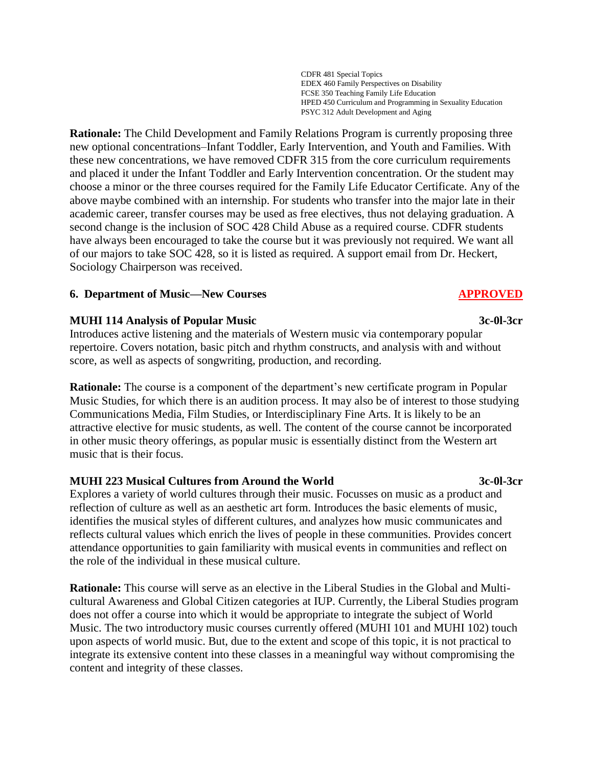CDFR 481 Special Topics EDEX 460 Family Perspectives on Disability FCSE 350 Teaching Family Life Education HPED 450 Curriculum and Programming in Sexuality Education PSYC 312 Adult Development and Aging

**Rationale:** The Child Development and Family Relations Program is currently proposing three new optional concentrations–Infant Toddler, Early Intervention, and Youth and Families. With these new concentrations, we have removed CDFR 315 from the core curriculum requirements and placed it under the Infant Toddler and Early Intervention concentration. Or the student may choose a minor or the three courses required for the Family Life Educator Certificate. Any of the above maybe combined with an internship. For students who transfer into the major late in their academic career, transfer courses may be used as free electives, thus not delaying graduation. A second change is the inclusion of SOC 428 Child Abuse as a required course. CDFR students have always been encouraged to take the course but it was previously not required. We want all of our majors to take SOC 428, so it is listed as required. A support email from Dr. Heckert, Sociology Chairperson was received.

# **6. Department of Music—New Courses APPROVED**

# **MUHI 114 Analysis of Popular Music 3c-0l-3cr**

Introduces active listening and the materials of Western music via contemporary popular repertoire. Covers notation, basic pitch and rhythm constructs, and analysis with and without score, as well as aspects of songwriting, production, and recording.

**Rationale:** The course is a component of the department's new certificate program in Popular Music Studies, for which there is an audition process. It may also be of interest to those studying Communications Media, Film Studies, or Interdisciplinary Fine Arts. It is likely to be an attractive elective for music students, as well. The content of the course cannot be incorporated in other music theory offerings, as popular music is essentially distinct from the Western art music that is their focus.

# **MUHI 223 Musical Cultures from Around the World 3c-0l-3cr**

Explores a variety of world cultures through their music. Focusses on music as a product and reflection of culture as well as an aesthetic art form. Introduces the basic elements of music, identifies the musical styles of different cultures, and analyzes how music communicates and reflects cultural values which enrich the lives of people in these communities. Provides concert attendance opportunities to gain familiarity with musical events in communities and reflect on the role of the individual in these musical culture.

**Rationale:** This course will serve as an elective in the Liberal Studies in the Global and Multicultural Awareness and Global Citizen categories at IUP. Currently, the Liberal Studies program does not offer a course into which it would be appropriate to integrate the subject of World Music. The two introductory music courses currently offered (MUHI 101 and MUHI 102) touch upon aspects of world music. But, due to the extent and scope of this topic, it is not practical to integrate its extensive content into these classes in a meaningful way without compromising the content and integrity of these classes.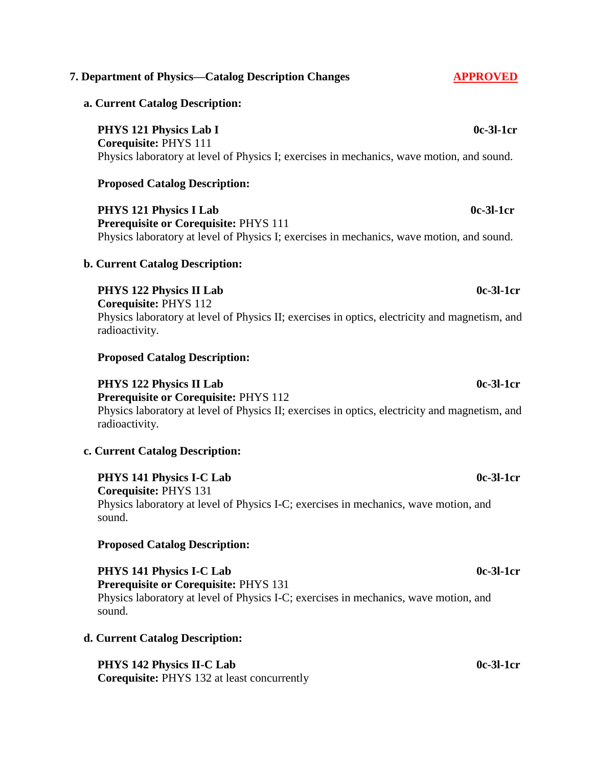# **7. Department of Physics—Catalog Description Changes APPROVED**

# **a. Current Catalog Description:**

**PHYS** 121 Physics Lab I 0c-3l-1cr **Corequisite:** PHYS 111 Physics laboratory at level of Physics I; exercises in mechanics, wave motion, and sound.

# **Proposed Catalog Description:**

**PHYS 121 Physics I Lab** 0c-3l-1cr **Prerequisite or Corequisite:** PHYS 111 Physics laboratory at level of Physics I; exercises in mechanics, wave motion, and sound.

# **b. Current Catalog Description:**

**PHYS** 122 Physics II Lab 0c-3l-1cr

**Corequisite:** PHYS 112 Physics laboratory at level of Physics II; exercises in optics, electricity and magnetism, and radioactivity.

# **Proposed Catalog Description:**

### **PHYS** 122 Physics II Lab 0c-3l-1cr **Prerequisite or Corequisite:** PHYS 112

Physics laboratory at level of Physics II; exercises in optics, electricity and magnetism, and radioactivity.

# **c. Current Catalog Description:**

# **PHYS 141 Physics I-C Lab** 0c-3l-1cr

**Corequisite:** PHYS 131 Physics laboratory at level of Physics I-C; exercises in mechanics, wave motion, and sound.

# **Proposed Catalog Description:**

**PHYS 141 Physics I-C Lab** 0c-3l-1cr **Prerequisite or Corequisite:** PHYS 131 Physics laboratory at level of Physics I-C; exercises in mechanics, wave motion, and sound.

# **d. Current Catalog Description:**

# **PHYS 142 Physics II-C Lab** 0c-3l-1cr

**Corequisite:** PHYS 132 at least concurrently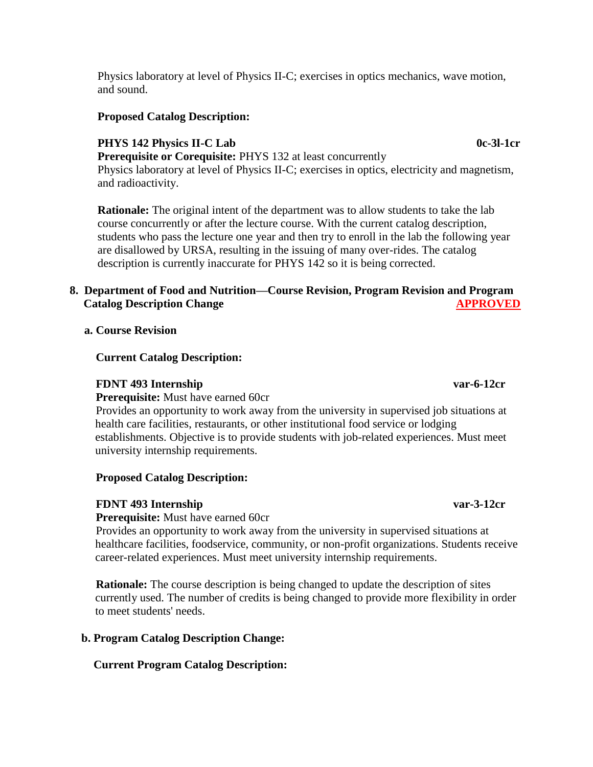Physics laboratory at level of Physics II-C; exercises in optics mechanics, wave motion, and sound.

## **Proposed Catalog Description:**

## **PHYS 142 Physics II-C Lab** 0c-3l-1cr

**Prerequisite or Corequisite: PHYS 132 at least concurrently** Physics laboratory at level of Physics II-C; exercises in optics, electricity and magnetism, and radioactivity.

**Rationale:** The original intent of the department was to allow students to take the lab course concurrently or after the lecture course. With the current catalog description, students who pass the lecture one year and then try to enroll in the lab the following year are disallowed by URSA, resulting in the issuing of many over-rides. The catalog description is currently inaccurate for PHYS 142 so it is being corrected.

# **8. Department of Food and Nutrition—Course Revision, Program Revision and Program Catalog Description Change APPROVED**

 **a. Course Revision**

## **Current Catalog Description:**

## **FDNT 493 Internship var-6-12cr**

**Prerequisite:** Must have earned 60cr

 Provides an opportunity to work away from the university in supervised job situations at health care facilities, restaurants, or other institutional food service or lodging establishments. Objective is to provide students with job-related experiences. Must meet university internship requirements.

### **Proposed Catalog Description:**

## **FDNT 493 Internship var-3-12cr**

**Prerequisite:** Must have earned 60cr

 Provides an opportunity to work away from the university in supervised situations at healthcare facilities, foodservice, community, or non-profit organizations. Students receive career-related experiences. Must meet university internship requirements.

 **Rationale:** The course description is being changed to update the description of sites currently used. The number of credits is being changed to provide more flexibility in order to meet students' needs.

## **b. Program Catalog Description Change:**

## **Current Program Catalog Description:**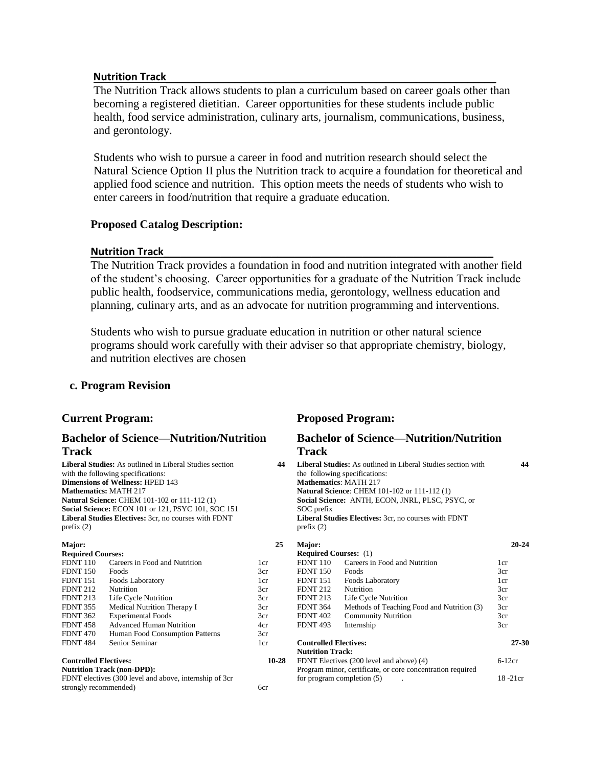### **Nutrition Track**\_\_\_\_\_\_\_\_\_\_\_\_\_\_\_\_\_\_\_\_\_\_\_\_\_\_\_\_\_\_\_\_\_\_\_\_\_\_\_\_\_\_\_\_\_\_\_\_\_\_\_\_\_\_\_\_\_\_

The Nutrition Track allows students to plan a curriculum based on career goals other than becoming a registered dietitian. Career opportunities for these students include public health, food service administration, culinary arts, journalism, communications, business, and gerontology.

Students who wish to pursue a career in food and nutrition research should select the Natural Science Option II plus the Nutrition track to acquire a foundation for theoretical and applied food science and nutrition. This option meets the needs of students who wish to enter careers in food/nutrition that require a graduate education.

## **Proposed Catalog Description:**

### **Nutrition Track**\_\_\_\_\_\_\_\_\_\_\_\_\_\_\_\_\_\_\_\_\_\_\_\_\_\_\_\_\_\_\_\_\_\_\_\_\_\_\_\_\_\_\_\_\_\_\_\_\_\_\_\_\_\_\_\_\_\_

The Nutrition Track provides a foundation in food and nutrition integrated with another field of the student's choosing. Career opportunities for a graduate of the Nutrition Track include public health, foodservice, communications media, gerontology, wellness education and planning, culinary arts, and as an advocate for nutrition programming and interventions.

Students who wish to pursue graduate education in nutrition or other natural science programs should work carefully with their adviser so that appropriate chemistry, biology, and nutrition electives are chosen

6cr

## **c. Program Revision**

### **Bachelor of Science—Nutrition/Nutrition Track**

**Liberal Studies:** As outlined in Liberal Studies section with the following specifications: **Dimensions of Wellness:** HPED 143 **Mathematics:** MATH 217 **Natural Science:** CHEM 101-102 or 111-112 (1) **Social Science:** ECON 101 or 121, PSYC 101, SOC 151 **Liberal Studies Electives:** 3cr, no courses with FDNT prefix (2)

| Major:                       |                                   | 25    |
|------------------------------|-----------------------------------|-------|
| <b>Required Courses:</b>     |                                   |       |
| <b>FDNT 110</b>              | Careers in Food and Nutrition     | 1cr   |
| <b>FDNT 150</b>              | Foods                             | 3cr   |
| <b>FDNT 151</b>              | Foods Laboratory                  | 1cr   |
| <b>FDNT 212</b>              | Nutrition                         | 3cr   |
| <b>FDNT 213</b>              | Life Cycle Nutrition              | 3cr   |
| <b>FDNT 355</b>              | Medical Nutrition Therapy I       | 3cr   |
| <b>FDNT 362</b>              | <b>Experimental Foods</b>         | 3cr   |
| <b>FDNT 458</b>              | <b>Advanced Human Nutrition</b>   | 4cr   |
| <b>FDNT 470</b>              | Human Food Consumption Patterns   | 3cr   |
| <b>FDNT 484</b>              | Senior Seminar                    | 1cr   |
| <b>Controlled Electives:</b> |                                   | 10-28 |
|                              | <b>Nutrition Track (non-DPD):</b> |       |

FDNT electives (300 level and above, internship of 3cr

strongly recommended)

## **Current Program: Proposed Program:**

## **Bachelor of Science—Nutrition/Nutrition Track**

| 44        | <b>Liberal Studies:</b> As outlined in Liberal Studies section with<br>the following specifications:<br><b>Mathematics: MATH 217</b><br><b>Natural Science: CHEM 101-102 or 111-112 (1)</b><br>Social Science: ANTH, ECON, JNRL, PLSC, PSYC, or<br>SOC prefix<br><b>Liberal Studies Electives:</b> 3cr, no courses with FDNT<br>prefix $(2)$ |                                                            |           |
|-----------|----------------------------------------------------------------------------------------------------------------------------------------------------------------------------------------------------------------------------------------------------------------------------------------------------------------------------------------------|------------------------------------------------------------|-----------|
| 25        | Major:                                                                                                                                                                                                                                                                                                                                       |                                                            | $20 - 24$ |
|           | <b>Required Courses:</b> (1)                                                                                                                                                                                                                                                                                                                 |                                                            |           |
| 1cr       | <b>FDNT 110</b>                                                                                                                                                                                                                                                                                                                              | Careers in Food and Nutrition                              | 1cr       |
| 3cr       | <b>FDNT 150</b>                                                                                                                                                                                                                                                                                                                              | Foods                                                      | 3cr       |
| 1cr       | FDNT 151                                                                                                                                                                                                                                                                                                                                     | Foods Laboratory                                           | 1cr       |
| 3cr       | <b>FDNT 212</b>                                                                                                                                                                                                                                                                                                                              | Nutrition                                                  | 3cr       |
| 3cr       | <b>FDNT 213</b>                                                                                                                                                                                                                                                                                                                              | Life Cycle Nutrition                                       | 3cr       |
| 3cr       | <b>FDNT 364</b>                                                                                                                                                                                                                                                                                                                              | Methods of Teaching Food and Nutrition (3)                 | 3cr       |
| 3cr       | <b>FDNT 402</b>                                                                                                                                                                                                                                                                                                                              | <b>Community Nutrition</b>                                 | 3cr       |
| 4cr       | <b>FDNT 493</b>                                                                                                                                                                                                                                                                                                                              | Internship                                                 | 3cr       |
| 3cr       |                                                                                                                                                                                                                                                                                                                                              |                                                            |           |
| 1cr       | <b>Controlled Electives:</b>                                                                                                                                                                                                                                                                                                                 |                                                            | 27-30     |
|           | <b>Nutrition Track:</b>                                                                                                                                                                                                                                                                                                                      |                                                            |           |
| $10 - 28$ |                                                                                                                                                                                                                                                                                                                                              | FDNT Electives (200 level and above) (4)                   | $6-12cr$  |
|           |                                                                                                                                                                                                                                                                                                                                              | Program minor, certificate, or core concentration required |           |
|           |                                                                                                                                                                                                                                                                                                                                              | for program completion (5)                                 | 18-21cr   |
| 60r       |                                                                                                                                                                                                                                                                                                                                              |                                                            |           |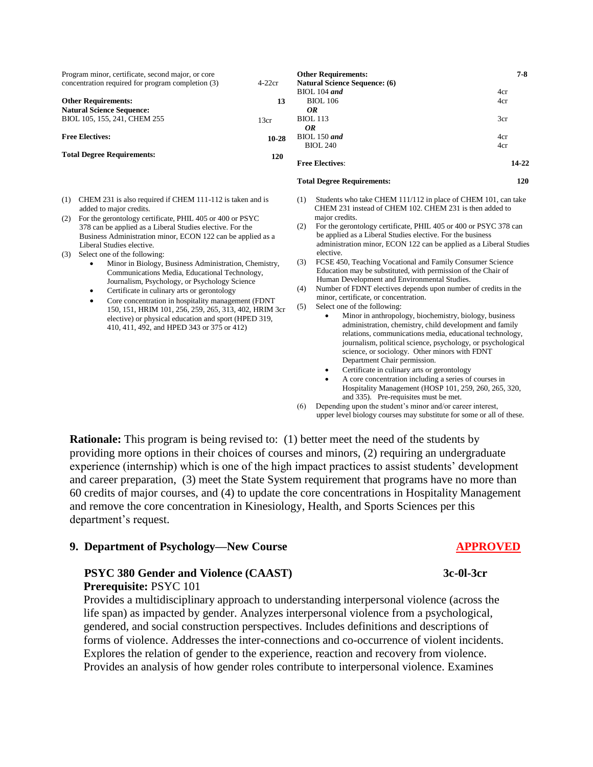| Program minor, certificate, second major, or core<br>concentration required for program completion (3)                                                                                                                   | $4-22cr$  | <b>Other Requirements:</b><br><b>Natural Science Sequence: (6)</b>                                                                                                                                                            | $7 - 8$    |
|--------------------------------------------------------------------------------------------------------------------------------------------------------------------------------------------------------------------------|-----------|-------------------------------------------------------------------------------------------------------------------------------------------------------------------------------------------------------------------------------|------------|
| <b>Other Requirements:</b><br><b>Natural Science Sequence:</b>                                                                                                                                                           | 13        | $BIOL 104$ and<br><b>BIOL</b> 106<br>OR                                                                                                                                                                                       | 4cr<br>4cr |
| BIOL 105, 155, 241, CHEM 255                                                                                                                                                                                             | 13cr      | <b>BIOL</b> 113<br>OR                                                                                                                                                                                                         | 3cr        |
| <b>Free Electives:</b>                                                                                                                                                                                                   | $10 - 28$ | $BIOL 150$ and<br><b>BIOL 240</b>                                                                                                                                                                                             | 4cr<br>4cr |
| <b>Total Degree Requirements:</b>                                                                                                                                                                                        |           | <b>Free Electives:</b>                                                                                                                                                                                                        | 14-22      |
|                                                                                                                                                                                                                          |           | <b>Total Degree Requirements:</b>                                                                                                                                                                                             | 120        |
| CHEM 231 is also required if CHEM 111-112 is taken and is<br>(1)<br>added to major credits.                                                                                                                              |           | Students who take CHEM 111/112 in place of CHEM 101, can take<br>(1)<br>CHEM 231 instead of CHEM 102. CHEM 231 is then added to                                                                                               |            |
| For the gerontology certificate, PHIL 405 or 400 or PSYC<br>(2)<br>378 can be applied as a Liberal Studies elective. For the<br>Business Administration minor, ECON 122 can be applied as a<br>Liberal Studies elective. |           | major credits.<br>For the gerontology certificate, PHIL 405 or 400 or PSYC 378 can<br>(2)<br>be applied as a Liberal Studies elective. For the business<br>administration minor, ECON 122 can be applied as a Liberal Studies |            |
| Select one of the following:<br>(3)<br>Minor in Biology, Business Administration, Chemistry,<br>Communications Media, Educational Technology,                                                                            |           | elective.<br>FCSE 450, Teaching Vocational and Family Consumer Science<br>(3)<br>Education may be substituted, with permission of the Chair of                                                                                |            |

- Journalism, Psychology, or Psychology Science
- Certificate in culinary arts or gerontology
- Core concentration in hospitality management (FDNT 150, 151, HRIM 101, 256, 259, 265, 313, 402, HRIM 3cr elective) or physical education and sport (HPED 319, 410, 411, 492, and HPED 343 or 375 or 412)
- Human Development and Environmental Studies.
- (4) Number of FDNT electives depends upon number of credits in the minor, certificate, or concentration.
- (5) Select one of the following:
	- Minor in anthropology, biochemistry, biology, business administration, chemistry, child development and family relations, communications media, educational technology, journalism, political science, psychology, or psychological science, or sociology. Other minors with FDNT Department Chair permission.
		- Certificate in culinary arts or gerontology
	- A core concentration including a series of courses in Hospitality Management (HOSP 101, 259, 260, 265, 320, and 335). Pre-requisites must be met.
- (6) Depending upon the student's minor and/or career interest, upper level biology courses may substitute for some or all of these.

**Rationale:** This program is being revised to: (1) better meet the need of the students by providing more options in their choices of courses and minors, (2) requiring an undergraduate experience (internship) which is one of the high impact practices to assist students' development and career preparation, (3) meet the State System requirement that programs have no more than 60 credits of major courses, and (4) to update the core concentrations in Hospitality Management and remove the core concentration in Kinesiology, Health, and Sports Sciences per this department's request.

### **9. Department of Psychology—New Course APPROVED**

# **PSYC 380 Gender and Violence (CAAST)** 3c-0l-3cr

**Prerequisite:** PSYC 101

Provides a multidisciplinary approach to understanding interpersonal violence (across the life span) as impacted by gender. Analyzes interpersonal violence from a psychological, gendered, and social construction perspectives. Includes definitions and descriptions of forms of violence. Addresses the inter-connections and co-occurrence of violent incidents. Explores the relation of gender to the experience, reaction and recovery from violence. Provides an analysis of how gender roles contribute to interpersonal violence. Examines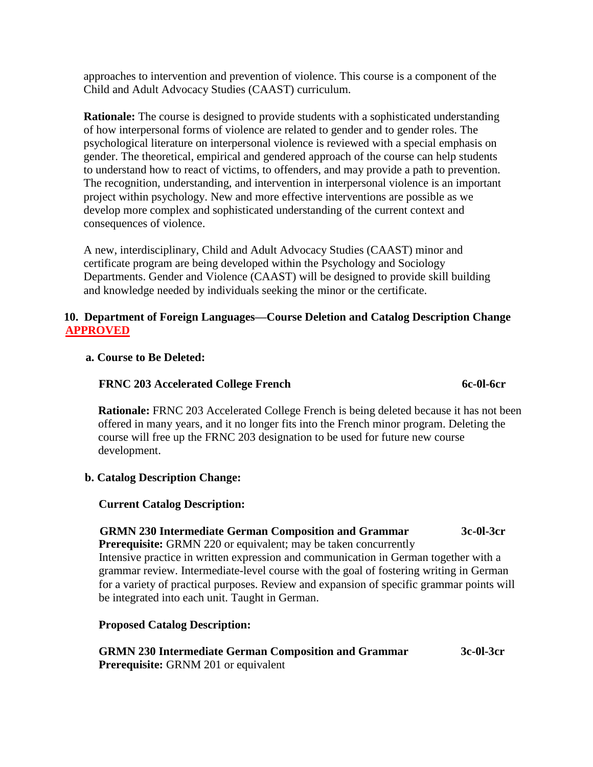approaches to intervention and prevention of violence. This course is a component of the Child and Adult Advocacy Studies (CAAST) curriculum.

**Rationale:** The course is designed to provide students with a sophisticated understanding of how interpersonal forms of violence are related to gender and to gender roles. The psychological literature on interpersonal violence is reviewed with a special emphasis on gender. The theoretical, empirical and gendered approach of the course can help students to understand how to react of victims, to offenders, and may provide a path to prevention. The recognition, understanding, and intervention in interpersonal violence is an important project within psychology. New and more effective interventions are possible as we develop more complex and sophisticated understanding of the current context and consequences of violence.

A new, interdisciplinary, Child and Adult Advocacy Studies (CAAST) minor and certificate program are being developed within the Psychology and Sociology Departments. Gender and Violence (CAAST) will be designed to provide skill building and knowledge needed by individuals seeking the minor or the certificate.

## **10. Department of Foreign Languages—Course Deletion and Catalog Description Change APPROVED**

## **a. Course to Be Deleted:**

### **FRNC 203 Accelerated College French 6c-0l-6cr** 6c-0l-6cr

 **Rationale:** FRNC 203 Accelerated College French is being deleted because it has not been offered in many years, and it no longer fits into the French minor program. Deleting the course will free up the FRNC 203 designation to be used for future new course development.

## **b. Catalog Description Change:**

### **Current Catalog Description:**

### **GRMN 230 Intermediate German Composition and Grammar 3c-0l-3cr**

**Prerequisite:** GRMN 220 or equivalent; may be taken concurrently Intensive practice in written expression and communication in German together with a grammar review. Intermediate-level course with the goal of fostering writing in German for a variety of practical purposes. Review and expansion of specific grammar points will be integrated into each unit. Taught in German.

### **Proposed Catalog Description:**

### **GRMN 230 Intermediate German Composition and Grammar 3c-0l-3cr Prerequisite:** GRNM 201 or equivalent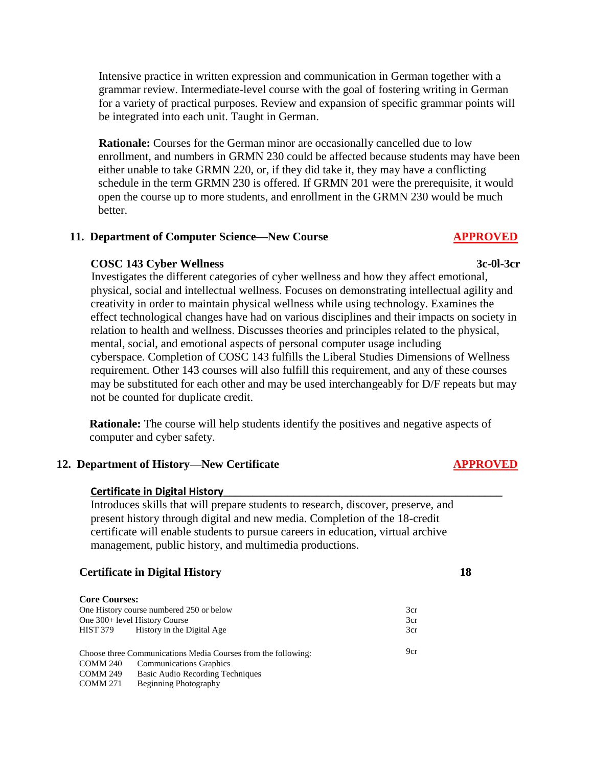Intensive practice in written expression and communication in German together with a grammar review. Intermediate-level course with the goal of fostering writing in German for a variety of practical purposes. Review and expansion of specific grammar points will be integrated into each unit. Taught in German.

**Rationale:** Courses for the German minor are occasionally cancelled due to low enrollment, and numbers in GRMN 230 could be affected because students may have been either unable to take GRMN 220, or, if they did take it, they may have a conflicting schedule in the term GRMN 230 is offered. If GRMN 201 were the prerequisite, it would open the course up to more students, and enrollment in the GRMN 230 would be much better.

## **11. Department of Computer Science—New Course APPROVED**

### **COSC 143 Cyber Wellness 3c-0l-3cr**

 Investigates the different categories of cyber wellness and how they affect emotional, physical, social and intellectual wellness. Focuses on demonstrating intellectual agility and creativity in order to maintain physical wellness while using technology. Examines the effect technological changes have had on various disciplines and their impacts on society in relation to health and wellness. Discusses theories and principles related to the physical, mental, social, and emotional aspects of personal computer usage including cyberspace. Completion of COSC 143 fulfills the Liberal Studies Dimensions of Wellness requirement. Other 143 courses will also fulfill this requirement, and any of these courses may be substituted for each other and may be used interchangeably for D/F repeats but may not be counted for duplicate credit.

**Rationale:** The course will help students identify the positives and negative aspects of computer and cyber safety.

### **12. Department of History—New Certificate APPROVED**

### **Certificate in Digital History\_\_\_\_\_\_\_\_\_\_\_\_\_\_\_\_\_\_\_\_\_\_\_\_\_\_\_\_\_\_\_\_\_\_\_\_\_\_\_\_\_\_\_\_\_\_\_\_**

Introduces skills that will prepare students to research, discover, preserve, and present history through digital and new media. Completion of the 18-credit certificate will enable students to pursue careers in education, virtual archive management, public history, and multimedia productions.

### **Certificate in Digital History 18**

| <b>Core Courses:</b>                     |                                                               |     |
|------------------------------------------|---------------------------------------------------------------|-----|
| One History course numbered 250 or below |                                                               | 3cr |
| One 300+ level History Course            |                                                               | 3cr |
| <b>HIST 379</b>                          | History in the Digital Age                                    | 3cr |
|                                          | Choose three Communications Media Courses from the following: | 9cr |
| COMM 240                                 | <b>Communications Graphics</b>                                |     |
| <b>COMM 249</b>                          | Basic Audio Recording Techniques                              |     |
| <b>COMM 271</b>                          | Beginning Photography                                         |     |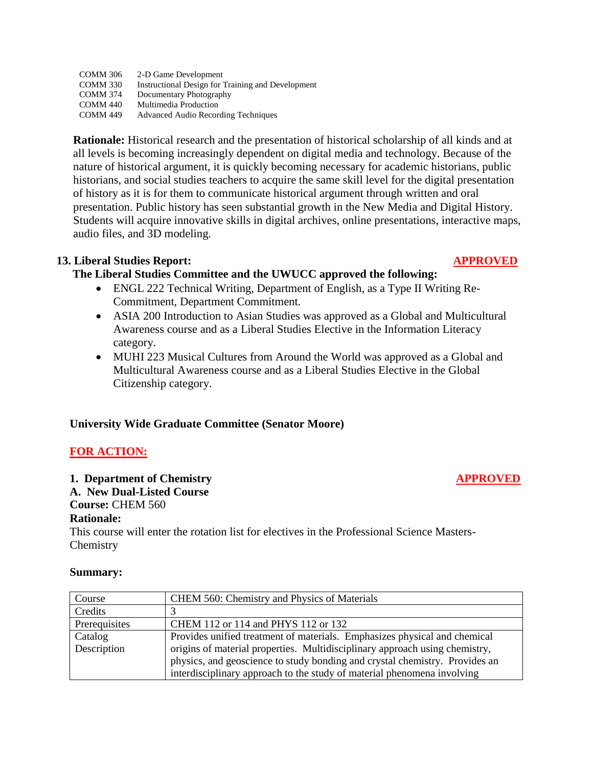| COMM 306        | 2-D Game Development                              |
|-----------------|---------------------------------------------------|
| <b>COMM 330</b> | Instructional Design for Training and Development |
| COMM 374        | Documentary Photography                           |
| <b>COMM 440</b> | Multimedia Production                             |
| COMM 449        | <b>Advanced Audio Recording Techniques</b>        |
|                 |                                                   |

 **Rationale:** Historical research and the presentation of historical scholarship of all kinds and at all levels is becoming increasingly dependent on digital media and technology. Because of the nature of historical argument, it is quickly becoming necessary for academic historians, public historians, and social studies teachers to acquire the same skill level for the digital presentation of history as it is for them to communicate historical argument through written and oral presentation. Public history has seen substantial growth in the New Media and Digital History. Students will acquire innovative skills in digital archives, online presentations, interactive maps, audio files, and 3D modeling.

# **13. Liberal Studies Report: APPROVED**

# **The Liberal Studies Committee and the UWUCC approved the following:**

- ENGL 222 Technical Writing, Department of English, as a Type II Writing Re-Commitment, Department Commitment.
- ASIA 200 Introduction to Asian Studies was approved as a Global and Multicultural Awareness course and as a Liberal Studies Elective in the Information Literacy category.
- MUHI 223 Musical Cultures from Around the World was approved as a Global and Multicultural Awareness course and as a Liberal Studies Elective in the Global Citizenship category.

# **University Wide Graduate Committee (Senator Moore)**

# **FOR ACTION:**

## **1. Department of Chemistry APPROVED**

# **A. New Dual-Listed Course**

# **Course:** CHEM 560

## **Rationale:**

This course will enter the rotation list for electives in the Professional Science Masters-**Chemistry** 

## **Summary:**

| Course        | CHEM 560: Chemistry and Physics of Materials                                |  |
|---------------|-----------------------------------------------------------------------------|--|
| Credits       |                                                                             |  |
| Prerequisites | CHEM 112 or 114 and PHYS 112 or 132                                         |  |
| Catalog       | Provides unified treatment of materials. Emphasizes physical and chemical   |  |
| Description   | origins of material properties. Multidisciplinary approach using chemistry, |  |
|               | physics, and geoscience to study bonding and crystal chemistry. Provides an |  |
|               | interdisciplinary approach to the study of material phenomena involving     |  |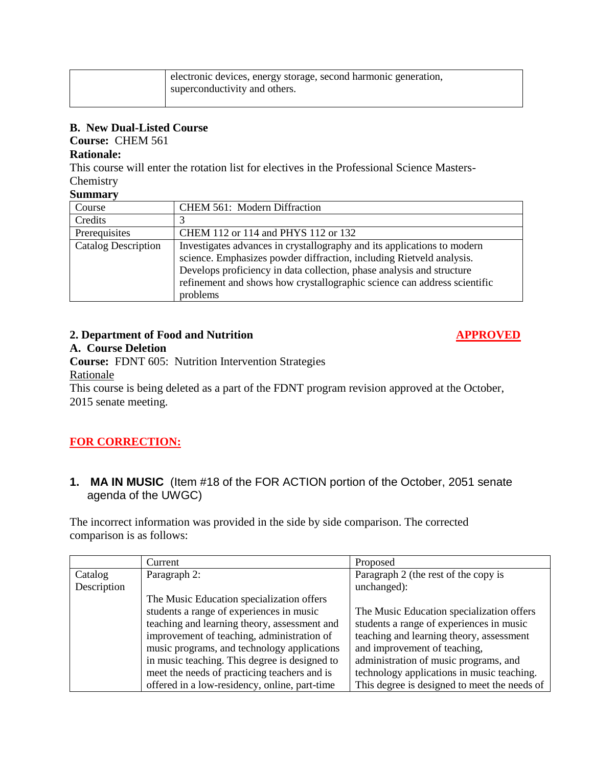| electronic devices, energy storage, second harmonic generation, |
|-----------------------------------------------------------------|
| superconductivity and others.                                   |
|                                                                 |

# **B. New Dual-Listed Course**

**Course:** CHEM 561

# **Rationale:**

This course will enter the rotation list for electives in the Professional Science Masters-Chemistry

## **Summary**

| Course                     | <b>CHEM 561: Modern Diffraction</b>                                                                                                                                                                                                                                                                  |  |
|----------------------------|------------------------------------------------------------------------------------------------------------------------------------------------------------------------------------------------------------------------------------------------------------------------------------------------------|--|
| Credits                    |                                                                                                                                                                                                                                                                                                      |  |
| Prerequisites              | CHEM 112 or 114 and PHYS 112 or 132                                                                                                                                                                                                                                                                  |  |
| <b>Catalog Description</b> | Investigates advances in crystallography and its applications to modern<br>science. Emphasizes powder diffraction, including Rietveld analysis.<br>Develops proficiency in data collection, phase analysis and structure<br>refinement and shows how crystallographic science can address scientific |  |
|                            | problems                                                                                                                                                                                                                                                                                             |  |

# **2. Department of Food and Nutrition APPROVED**

# **A. Course Deletion**

**Course:** FDNT 605: Nutrition Intervention Strategies

## Rationale

This course is being deleted as a part of the FDNT program revision approved at the October, 2015 senate meeting.

# **FOR CORRECTION:**

# **1. MA IN MUSIC** (Item #18 of the FOR ACTION portion of the October, 2051 senate agenda of the UWGC)

The incorrect information was provided in the side by side comparison. The corrected comparison is as follows:

|             | Current                                       | Proposed                                     |
|-------------|-----------------------------------------------|----------------------------------------------|
| Catalog     | Paragraph 2:                                  | Paragraph 2 (the rest of the copy is         |
| Description |                                               | unchanged):                                  |
|             | The Music Education specialization offers     |                                              |
|             | students a range of experiences in music      | The Music Education specialization offers    |
|             | teaching and learning theory, assessment and  | students a range of experiences in music     |
|             | improvement of teaching, administration of    | teaching and learning theory, assessment     |
|             | music programs, and technology applications   | and improvement of teaching,                 |
|             | in music teaching. This degree is designed to | administration of music programs, and        |
|             | meet the needs of practicing teachers and is  | technology applications in music teaching.   |
|             | offered in a low-residency, online, part-time | This degree is designed to meet the needs of |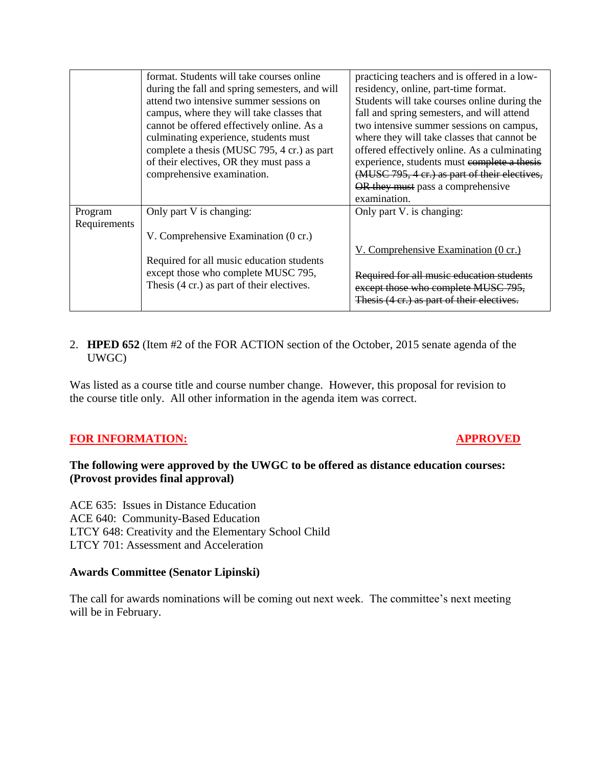|              | format. Students will take courses online      | practicing teachers and is offered in a low-  |
|--------------|------------------------------------------------|-----------------------------------------------|
|              | during the fall and spring semesters, and will | residency, online, part-time format.          |
|              | attend two intensive summer sessions on        | Students will take courses online during the  |
|              | campus, where they will take classes that      | fall and spring semesters, and will attend    |
|              | cannot be offered effectively online. As a     | two intensive summer sessions on campus,      |
|              | culminating experience, students must          | where they will take classes that cannot be   |
|              | complete a thesis (MUSC 795, 4 cr.) as part    | offered effectively online. As a culminating  |
|              | of their electives, OR they must pass a        | experience, students must complete a thesis   |
|              | comprehensive examination.                     | (MUSC 795, 4 cr.) as part of their electives, |
|              |                                                | OR they must pass a comprehensive             |
|              |                                                | examination.                                  |
| Program      | Only part V is changing:                       | Only part V. is changing:                     |
| Requirements |                                                |                                               |
|              | V. Comprehensive Examination (0 cr.)           |                                               |
|              |                                                | V. Comprehensive Examination (0 cr.)          |
|              | Required for all music education students      |                                               |
|              | except those who complete MUSC 795,            | Required for all music education students     |
|              | Thesis (4 cr.) as part of their electives.     | except those who complete MUSC 795,           |
|              |                                                | Thesis (4 cr.) as part of their electives.    |
|              |                                                |                                               |

## 2. **HPED 652** (Item #2 of the FOR ACTION section of the October, 2015 senate agenda of the UWGC)

Was listed as a course title and course number change. However, this proposal for revision to the course title only. All other information in the agenda item was correct.

## **FOR INFORMATION:** APPROVED

## **The following were approved by the UWGC to be offered as distance education courses: (Provost provides final approval)**

ACE 635: Issues in Distance Education ACE 640: Community-Based Education LTCY 648: Creativity and the Elementary School Child LTCY 701: Assessment and Acceleration

## **Awards Committee (Senator Lipinski)**

The call for awards nominations will be coming out next week. The committee's next meeting will be in February.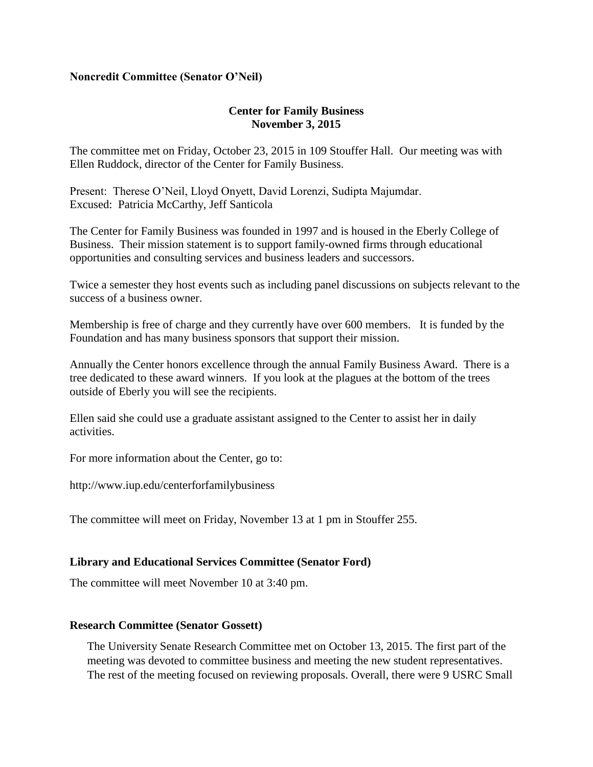## **Noncredit Committee (Senator O'Neil)**

## **Center for Family Business November 3, 2015**

The committee met on Friday, October 23, 2015 in 109 Stouffer Hall. Our meeting was with Ellen Ruddock, director of the Center for Family Business.

Present: Therese O'Neil, Lloyd Onyett, David Lorenzi, Sudipta Majumdar. Excused: Patricia McCarthy, Jeff Santicola

The Center for Family Business was founded in 1997 and is housed in the Eberly College of Business. Their mission statement is to support family-owned firms through educational opportunities and consulting services and business leaders and successors.

Twice a semester they host events such as including panel discussions on subjects relevant to the success of a business owner.

Membership is free of charge and they currently have over 600 members. It is funded by the Foundation and has many business sponsors that support their mission.

Annually the Center honors excellence through the annual Family Business Award. There is a tree dedicated to these award winners. If you look at the plagues at the bottom of the trees outside of Eberly you will see the recipients.

Ellen said she could use a graduate assistant assigned to the Center to assist her in daily activities.

For more information about the Center, go to:

http://www.iup.edu/centerforfamilybusiness

The committee will meet on Friday, November 13 at 1 pm in Stouffer 255.

## **Library and Educational Services Committee (Senator Ford)**

The committee will meet November 10 at 3:40 pm.

## **Research Committee (Senator Gossett)**

The University Senate Research Committee met on October 13, 2015. The first part of the meeting was devoted to committee business and meeting the new student representatives. The rest of the meeting focused on reviewing proposals. Overall, there were 9 USRC Small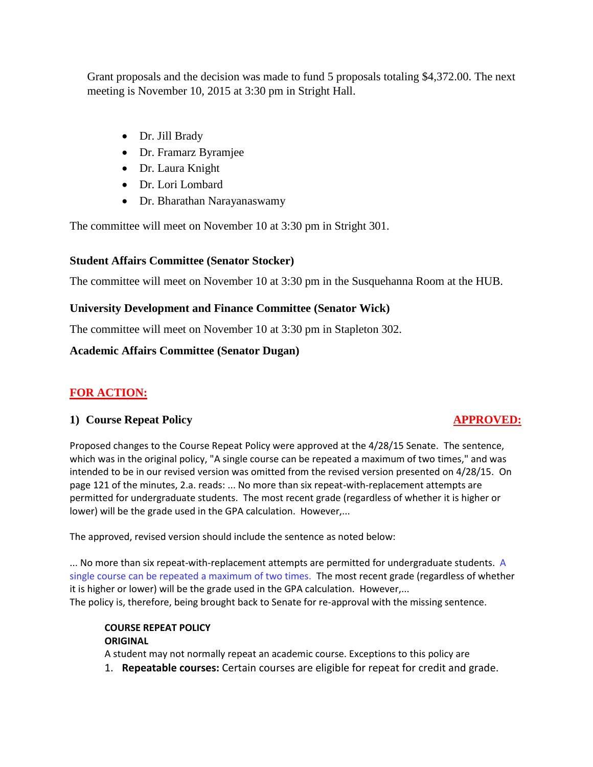Grant proposals and the decision was made to fund 5 proposals totaling \$4,372.00. The next meeting is November 10, 2015 at 3:30 pm in Stright Hall.

- Dr. Jill Brady
- Dr. Framarz Byramjee
- Dr. Laura Knight
- Dr. Lori Lombard
- Dr. Bharathan Narayanaswamy

The committee will meet on November 10 at 3:30 pm in Stright 301.

# **Student Affairs Committee (Senator Stocker)**

The committee will meet on November 10 at 3:30 pm in the Susquehanna Room at the HUB.

# **University Development and Finance Committee (Senator Wick)**

The committee will meet on November 10 at 3:30 pm in Stapleton 302.

# **Academic Affairs Committee (Senator Dugan)**

# **FOR ACTION:**

# **1) Course Repeat Policy APPROVED:**

Proposed changes to the Course Repeat Policy were approved at the 4/28/15 Senate. The sentence, which was in the original policy, "A single course can be repeated a maximum of two times," and was intended to be in our revised version was omitted from the revised version presented on 4/28/15. On page 121 of the minutes, 2.a. reads: ... No more than six repeat-with-replacement attempts are permitted for undergraduate students. The most recent grade (regardless of whether it is higher or lower) will be the grade used in the GPA calculation. However,...

The approved, revised version should include the sentence as noted below:

... No more than six repeat-with-replacement attempts are permitted for undergraduate students. A single course can be repeated a maximum of two times. The most recent grade (regardless of whether it is higher or lower) will be the grade used in the GPA calculation. However,... The policy is, therefore, being brought back to Senate for re-approval with the missing sentence.

### **COURSE REPEAT POLICY ORIGINAL**

A student may not normally repeat an academic course. Exceptions to this policy are

1. **Repeatable courses:** Certain courses are eligible for repeat for credit and grade.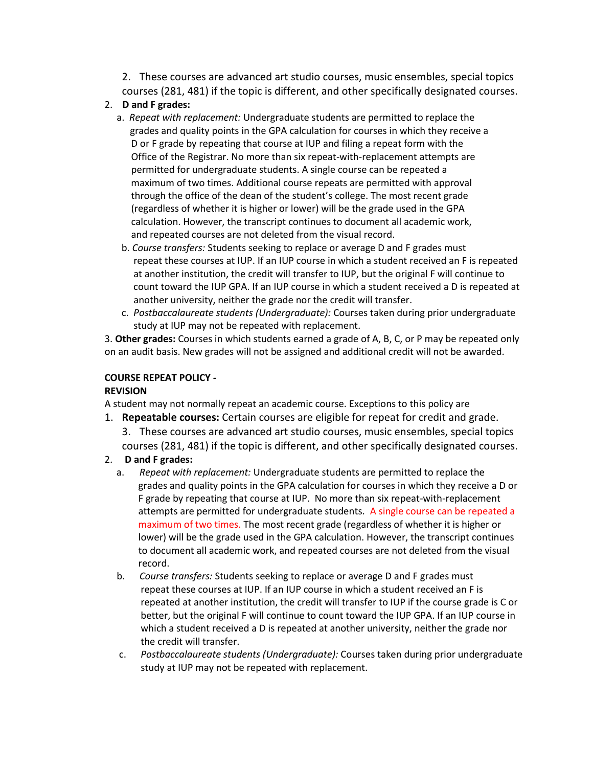2. These courses are advanced art studio courses, music ensembles, special topics courses (281, 481) if the topic is different, and other specifically designated courses.

### 2. **D and F grades:**

- a. *Repeat with replacement:* Undergraduate students are permitted to replace the grades and quality points in the GPA calculation for courses in which they receive a D or F grade by repeating that course at IUP and filing a repeat form with the Office of the Registrar. No more than six repeat-with-replacement attempts are permitted for undergraduate students. A single course can be repeated a maximum of two times. Additional course repeats are permitted with approval through the office of the dean of the student's college. The most recent grade (regardless of whether it is higher or lower) will be the grade used in the GPA calculation. However, the transcript continues to document all academic work, and repeated courses are not deleted from the visual record.
- b. *Course transfers:* Students seeking to replace or average D and F grades must repeat these courses at IUP. If an IUP course in which a student received an F is repeated at another institution, the credit will transfer to IUP, but the original F will continue to count toward the IUP GPA. If an IUP course in which a student received a D is repeated at another university, neither the grade nor the credit will transfer.
- c. *Postbaccalaureate students (Undergraduate):* Courses taken during prior undergraduate study at IUP may not be repeated with replacement.

3. **Other grades:** Courses in which students earned a grade of A, B, C, or P may be repeated only on an audit basis. New grades will not be assigned and additional credit will not be awarded.

### **COURSE REPEAT POLICY -**

### **REVISION**

A student may not normally repeat an academic course. Exceptions to this policy are

- 1. **Repeatable courses:** Certain courses are eligible for repeat for credit and grade. 3. These courses are advanced art studio courses, music ensembles, special topics courses (281, 481) if the topic is different, and other specifically designated courses.
- 2. **D and F grades:**
	- a. *Repeat with replacement:* Undergraduate students are permitted to replace the grades and quality points in the GPA calculation for courses in which they receive a D or F grade by repeating that course at IUP. No more than six repeat-with-replacement attempts are permitted for undergraduate students. A single course can be repeated a maximum of two times. The most recent grade (regardless of whether it is higher or lower) will be the grade used in the GPA calculation. However, the transcript continues to document all academic work, and repeated courses are not deleted from the visual record.
	- b. *Course transfers:* Students seeking to replace or average D and F grades must repeat these courses at IUP. If an IUP course in which a student received an F is repeated at another institution, the credit will transfer to IUP if the course grade is C or better, but the original F will continue to count toward the IUP GPA. If an IUP course in which a student received a D is repeated at another university, neither the grade nor the credit will transfer.
	- c. *Postbaccalaureate students (Undergraduate):* Courses taken during prior undergraduate study at IUP may not be repeated with replacement.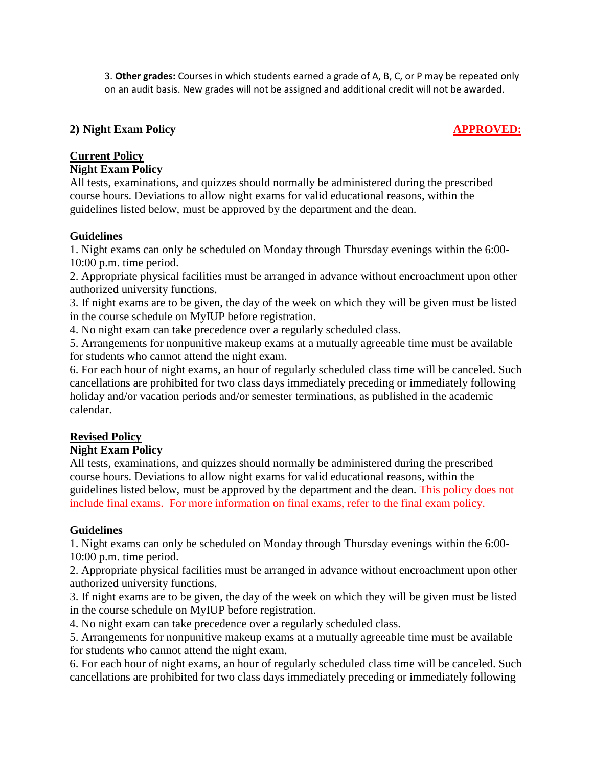3. **Other grades:** Courses in which students earned a grade of A, B, C, or P may be repeated only on an audit basis. New grades will not be assigned and additional credit will not be awarded.

# **2) Night Exam Policy APPROVED:**

# **Current Policy**

## **Night Exam Policy**

All tests, examinations, and quizzes should normally be administered during the prescribed course hours. Deviations to allow night exams for valid educational reasons, within the guidelines listed below, must be approved by the department and the dean.

# **Guidelines**

1. Night exams can only be scheduled on Monday through Thursday evenings within the 6:00- 10:00 p.m. time period.

2. Appropriate physical facilities must be arranged in advance without encroachment upon other authorized university functions.

3. If night exams are to be given, the day of the week on which they will be given must be listed in the course schedule on MyIUP before registration.

4. No night exam can take precedence over a regularly scheduled class.

5. Arrangements for nonpunitive makeup exams at a mutually agreeable time must be available for students who cannot attend the night exam.

6. For each hour of night exams, an hour of regularly scheduled class time will be canceled. Such cancellations are prohibited for two class days immediately preceding or immediately following holiday and/or vacation periods and/or semester terminations, as published in the academic calendar.

# **Revised Policy**

# **Night Exam Policy**

All tests, examinations, and quizzes should normally be administered during the prescribed course hours. Deviations to allow night exams for valid educational reasons, within the guidelines listed below, must be approved by the department and the dean. This policy does not include final exams. For more information on final exams, refer to the final exam policy.

## **Guidelines**

1. Night exams can only be scheduled on Monday through Thursday evenings within the 6:00- 10:00 p.m. time period.

2. Appropriate physical facilities must be arranged in advance without encroachment upon other authorized university functions.

3. If night exams are to be given, the day of the week on which they will be given must be listed in the course schedule on MyIUP before registration.

4. No night exam can take precedence over a regularly scheduled class.

5. Arrangements for nonpunitive makeup exams at a mutually agreeable time must be available for students who cannot attend the night exam.

6. For each hour of night exams, an hour of regularly scheduled class time will be canceled. Such cancellations are prohibited for two class days immediately preceding or immediately following